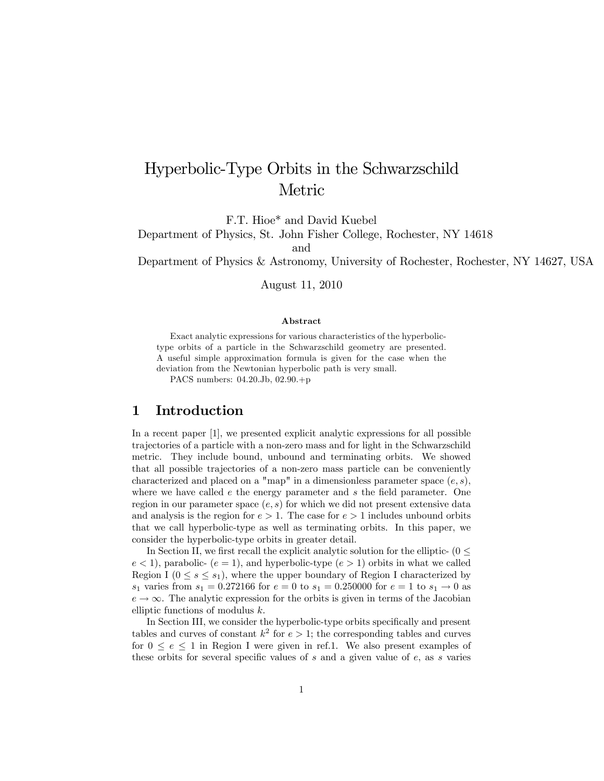# Hyperbolic-Type Orbits in the Schwarzschild Metric

F.T. Hioe\* and David Kuebel

Department of Physics, St. John Fisher College, Rochester, NY 14618

and

Department of Physics & Astronomy, University of Rochester, Rochester, NY 14627, USA

August 11, 2010

#### Abstract

Exact analytic expressions for various characteristics of the hyperbolictype orbits of a particle in the Schwarzschild geometry are presented. A useful simple approximation formula is given for the case when the deviation from the Newtonian hyperbolic path is very small.

PACS numbers: 04.20.Jb, 02.90.+p

#### 1 Introduction

In a recent paper [1], we presented explicit analytic expressions for all possible trajectories of a particle with a non-zero mass and for light in the Schwarzschild metric. They include bound, unbound and terminating orbits. We showed that all possible trajectories of a non-zero mass particle can be conveniently characterized and placed on a "map" in a dimensionless parameter space  $(e, s)$ , where we have called  $e$  the energy parameter and  $s$  the field parameter. One region in our parameter space  $(e, s)$  for which we did not present extensive data and analysis is the region for  $e > 1$ . The case for  $e > 1$  includes unbound orbits that we call hyperbolic-type as well as terminating orbits. In this paper, we consider the hyperbolic-type orbits in greater detail.

In Section II, we first recall the explicit analytic solution for the elliptic- ( $0 \le$  $e < 1$ , parabolic-  $(e = 1)$ , and hyperbolic-type  $(e > 1)$  orbits in what we called Region I  $(0 \le s \le s_1)$ , where the upper boundary of Region I characterized by s<sub>1</sub> varies from  $s_1 = 0.272166$  for  $e = 0$  to  $s_1 = 0.250000$  for  $e = 1$  to  $s_1 \rightarrow 0$  as  $e \rightarrow \infty$ . The analytic expression for the orbits is given in terms of the Jacobian elliptic functions of modulus k.

In Section III, we consider the hyperbolic-type orbits specifically and present tables and curves of constant  $k^2$  for  $e > 1$ ; the corresponding tables and curves for  $0 \le e \le 1$  in Region I were given in ref.1. We also present examples of these orbits for several specific values of  $s$  and a given value of  $e$ , as s varies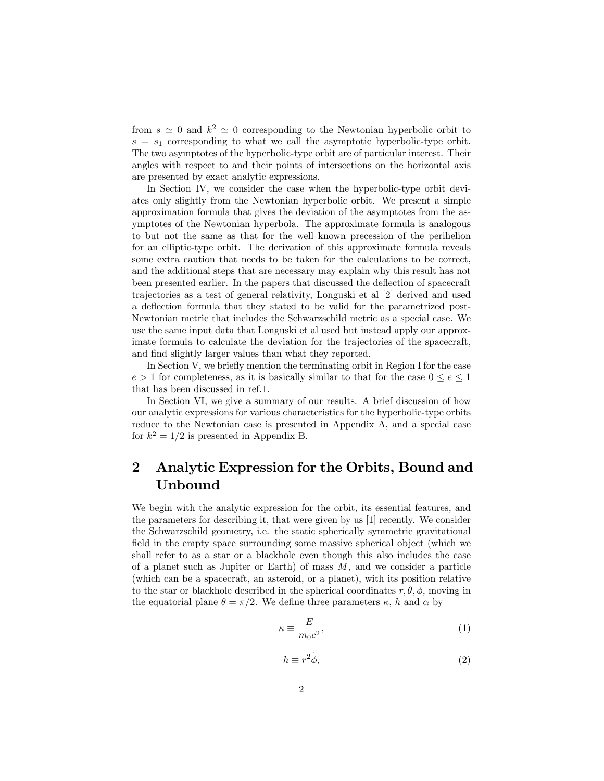from  $s \simeq 0$  and  $k^2 \simeq 0$  corresponding to the Newtonian hyperbolic orbit to  $s = s_1$  corresponding to what we call the asymptotic hyperbolic-type orbit. The two asymptotes of the hyperbolic-type orbit are of particular interest. Their angles with respect to and their points of intersections on the horizontal axis are presented by exact analytic expressions.

In Section IV, we consider the case when the hyperbolic-type orbit deviates only slightly from the Newtonian hyperbolic orbit. We present a simple approximation formula that gives the deviation of the asymptotes from the asymptotes of the Newtonian hyperbola. The approximate formula is analogous to but not the same as that for the well known precession of the perihelion for an elliptic-type orbit. The derivation of this approximate formula reveals some extra caution that needs to be taken for the calculations to be correct, and the additional steps that are necessary may explain why this result has not been presented earlier. In the papers that discussed the deáection of spacecraft trajectories as a test of general relativity, Longuski et al [2] derived and used a deflection formula that they stated to be valid for the parametrized post-Newtonian metric that includes the Schwarzschild metric as a special case. We use the same input data that Longuski et al used but instead apply our approximate formula to calculate the deviation for the trajectories of the spacecraft, and find slightly larger values than what they reported.

In Section V, we briefly mention the terminating orbit in Region I for the case  $e > 1$  for completeness, as it is basically similar to that for the case  $0 \le e \le 1$ that has been discussed in ref.1.

In Section VI, we give a summary of our results. A brief discussion of how our analytic expressions for various characteristics for the hyperbolic-type orbits reduce to the Newtonian case is presented in Appendix A, and a special case for  $k^2 = 1/2$  is presented in Appendix B.

## 2 Analytic Expression for the Orbits, Bound and Unbound

We begin with the analytic expression for the orbit, its essential features, and the parameters for describing it, that were given by us [1] recently. We consider the Schwarzschild geometry, i.e. the static spherically symmetric gravitational field in the empty space surrounding some massive spherical object (which we shall refer to as a star or a blackhole even though this also includes the case of a planet such as Jupiter or Earth) of mass  $M$ , and we consider a particle (which can be a spacecraft, an asteroid, or a planet), with its position relative to the star or blackhole described in the spherical coordinates  $r, \theta, \phi$ , moving in the equatorial plane  $\theta = \pi/2$ . We define three parameters  $\kappa$ , h and  $\alpha$  by

$$
\kappa \equiv \frac{E}{m_0 c^2},\tag{1}
$$

$$
h \equiv r^2 \phi,\tag{2}
$$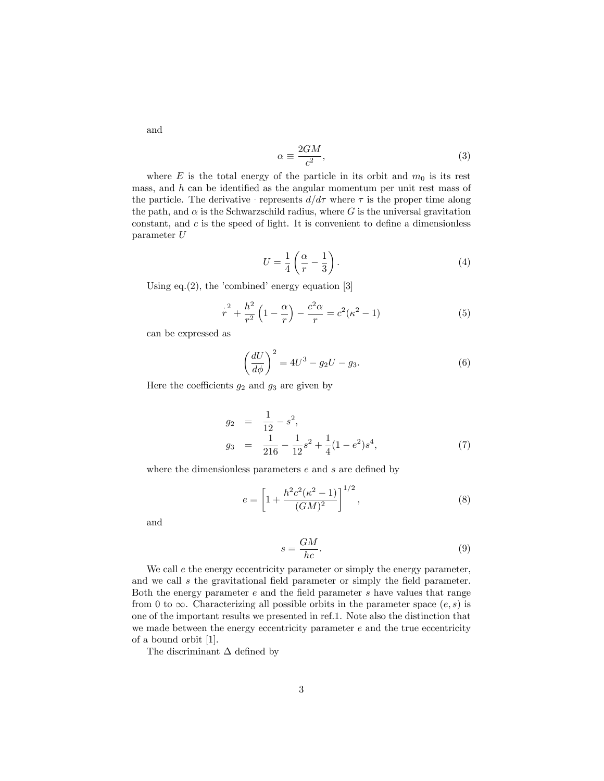and

$$
\alpha \equiv \frac{2GM}{c^2},\tag{3}
$$

where E is the total energy of the particle in its orbit and  $m_0$  is its rest mass, and  $h$  can be identified as the angular momentum per unit rest mass of the particle. The derivative  $r = r \sin \frac{d}{d\tau}$  where  $\tau$  is the proper time along the path, and  $\alpha$  is the Schwarzschild radius, where G is the universal gravitation constant, and  $c$  is the speed of light. It is convenient to define a dimensionless parameter U

$$
U = \frac{1}{4} \left( \frac{\alpha}{r} - \frac{1}{3} \right). \tag{4}
$$

Using eq.(2), the 'combined' energy equation  $[3]$ 

$$
r^{2} + \frac{h^{2}}{r^{2}} \left(1 - \frac{\alpha}{r}\right) - \frac{c^{2} \alpha}{r} = c^{2} (\kappa^{2} - 1)
$$
 (5)

can be expressed as

$$
\left(\frac{dU}{d\phi}\right)^2 = 4U^3 - g_2U - g_3.
$$
\n<sup>(6)</sup>

Here the coefficients  $g_2$  and  $g_3$  are given by

$$
g_2 = \frac{1}{12} - s^2,
$$
  
\n
$$
g_3 = \frac{1}{216} - \frac{1}{12}s^2 + \frac{1}{4}(1 - e^2)s^4,
$$
\n(7)

where the dimensionless parameters  $e$  and  $s$  are defined by

$$
e = \left[1 + \frac{h^2 c^2 (\kappa^2 - 1)}{(GM)^2}\right]^{1/2},\tag{8}
$$

and

$$
s = \frac{GM}{hc}.\tag{9}
$$

We call  $e$  the energy eccentricity parameter or simply the energy parameter, and we call  $s$  the gravitational field parameter or simply the field parameter. Both the energy parameter  $e$  and the field parameter  $s$  have values that range from 0 to  $\infty$ . Characterizing all possible orbits in the parameter space  $(e, s)$  is one of the important results we presented in ref.1. Note also the distinction that we made between the energy eccentricity parameter  $e$  and the true eccentricity of a bound orbit [1].

The discriminant  $\Delta$  defined by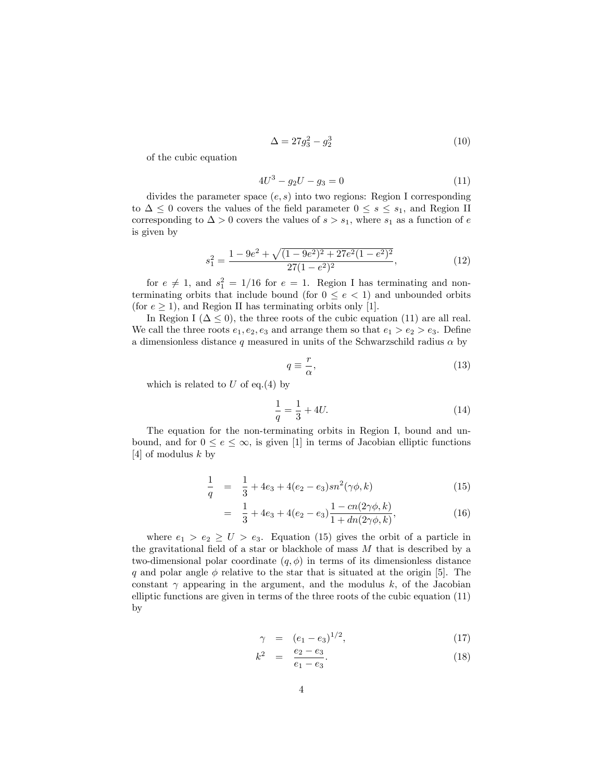$$
\Delta = 27g_3^2 - g_2^3 \tag{10}
$$

of the cubic equation

$$
4U^3 - g_2U - g_3 = 0\tag{11}
$$

divides the parameter space  $(e, s)$  into two regions: Region I corresponding to  $\Delta \leq 0$  covers the values of the field parameter  $0 \leq s \leq s_1$ , and Region II corresponding to  $\Delta > 0$  covers the values of  $s > s_1$ , where  $s_1$  as a function of e is given by

$$
s_1^2 = \frac{1 - 9e^2 + \sqrt{(1 - 9e^2)^2 + 27e^2(1 - e^2)^2}}{27(1 - e^2)^2},\tag{12}
$$

for  $e \neq 1$ , and  $s_1^2 = 1/16$  for  $e = 1$ . Region I has terminating and nonterminating orbits that include bound (for  $0 \le e < 1$ ) and unbounded orbits (for  $e \geq 1$ ), and Region II has terminating orbits only [1].

In Region I ( $\Delta \leq 0$ ), the three roots of the cubic equation (11) are all real. We call the three roots  $e_1, e_2, e_3$  and arrange them so that  $e_1 > e_2 > e_3$ . Define a dimensionless distance  $q$  measured in units of the Schwarzschild radius  $\alpha$  by

$$
q \equiv \frac{r}{\alpha},\tag{13}
$$

which is related to  $U$  of eq.(4) by

$$
\frac{1}{q} = \frac{1}{3} + 4U.\tag{14}
$$

The equation for the non-terminating orbits in Region I, bound and unbound, and for  $0 \le e \le \infty$ , is given [1] in terms of Jacobian elliptic functions [4] of modulus  $k$  by

$$
\frac{1}{q} = \frac{1}{3} + 4e_3 + 4(e_2 - e_3)sn^2(\gamma\phi, k) \tag{15}
$$

$$
= \frac{1}{3} + 4e_3 + 4(e_2 - e_3) \frac{1 - cn(2\gamma\phi, k)}{1 + dn(2\gamma\phi, k)},
$$
(16)

where  $e_1 > e_2 \geq U > e_3$ . Equation (15) gives the orbit of a particle in the gravitational field of a star or blackhole of mass  $M$  that is described by a two-dimensional polar coordinate  $(q, \phi)$  in terms of its dimensionless distance q and polar angle  $\phi$  relative to the star that is situated at the origin [5]. The constant  $\gamma$  appearing in the argument, and the modulus  $k$ , of the Jacobian elliptic functions are given in terms of the three roots of the cubic equation (11) by

$$
\gamma = (e_1 - e_3)^{1/2}, \tag{17}
$$

$$
k^2 = \frac{e_2 - e_3}{e_1 - e_3}.\tag{18}
$$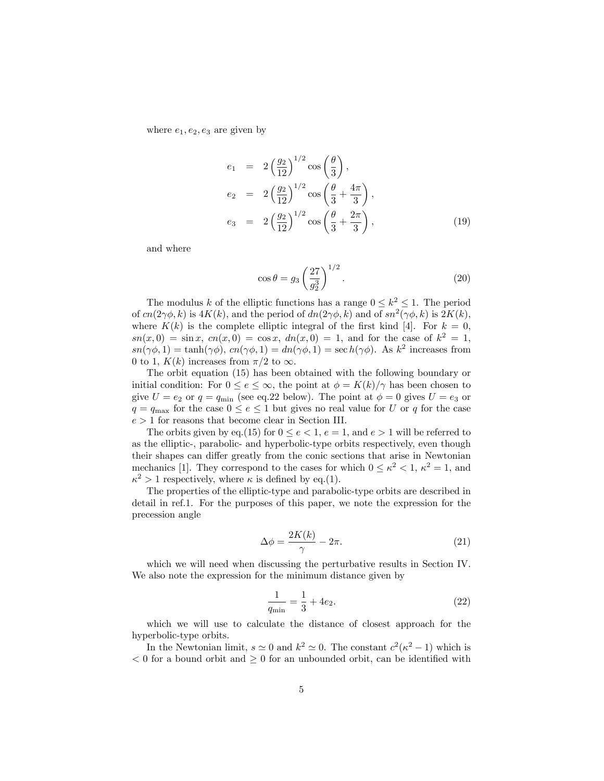where  $e_1, e_2, e_3$  are given by

$$
e_1 = 2\left(\frac{g_2}{12}\right)^{1/2} \cos\left(\frac{\theta}{3}\right),
$$
  
\n
$$
e_2 = 2\left(\frac{g_2}{12}\right)^{1/2} \cos\left(\frac{\theta}{3} + \frac{4\pi}{3}\right),
$$
  
\n
$$
e_3 = 2\left(\frac{g_2}{12}\right)^{1/2} \cos\left(\frac{\theta}{3} + \frac{2\pi}{3}\right),
$$
\n(19)

and where

$$
\cos \theta = g_3 \left(\frac{27}{g_2^3}\right)^{1/2}.
$$
 (20)

The modulus k of the elliptic functions has a range  $0 \le k^2 \le 1$ . The period of  $cn(2\gamma\phi, k)$  is  $4K(k)$ , and the period of  $dn(2\gamma\phi, k)$  and of  $sn^2(\gamma\phi, k)$  is  $2K(k)$ , where  $K(k)$  is the complete elliptic integral of the first kind [4]. For  $k = 0$ ,  $sn(x,0) = sin x, cn(x,0) = cos x, dn(x,0) = 1, and for the case of k<sup>2</sup> = 1,$  $sn(\gamma\phi, 1) = \tanh(\gamma\phi), cn(\gamma\phi, 1) = dn(\gamma\phi, 1) = \text{sec }h(\gamma\phi).$  As  $k^2$  increases from 0 to 1,  $K(k)$  increases from  $\pi/2$  to  $\infty$ .

The orbit equation (15) has been obtained with the following boundary or initial condition: For  $0 \le e \le \infty$ , the point at  $\phi = K(k)/\gamma$  has been chosen to give  $U = e_2$  or  $q = q_{\text{min}}$  (see eq.22 below). The point at  $\phi = 0$  gives  $U = e_3$  or  $q = q_{\text{max}}$  for the case  $0 \le e \le 1$  but gives no real value for U or q for the case  $e > 1$  for reasons that become clear in Section III.

The orbits given by eq.(15) for  $0 \le e < 1$ ,  $e = 1$ , and  $e > 1$  will be referred to as the elliptic-, parabolic- and hyperbolic-type orbits respectively, even though their shapes can differ greatly from the conic sections that arise in Newtonian mechanics [1]. They correspond to the cases for which  $0 \leq \kappa^2 < 1$ ,  $\kappa^2 = 1$ , and  $\kappa^2 > 1$  respectively, where  $\kappa$  is defined by eq.(1).

The properties of the elliptic-type and parabolic-type orbits are described in detail in ref.1. For the purposes of this paper, we note the expression for the precession angle

$$
\Delta \phi = \frac{2K(k)}{\gamma} - 2\pi.
$$
\n(21)

which we will need when discussing the perturbative results in Section IV. We also note the expression for the minimum distance given by

$$
\frac{1}{q_{\min}} = \frac{1}{3} + 4e_2.
$$
 (22)

which we will use to calculate the distance of closest approach for the hyperbolic-type orbits.

In the Newtonian limit,  $s \simeq 0$  and  $k^2 \simeq 0$ . The constant  $c^2(\kappa^2 - 1)$  which is  $< 0$  for a bound orbit and  $> 0$  for an unbounded orbit, can be identified with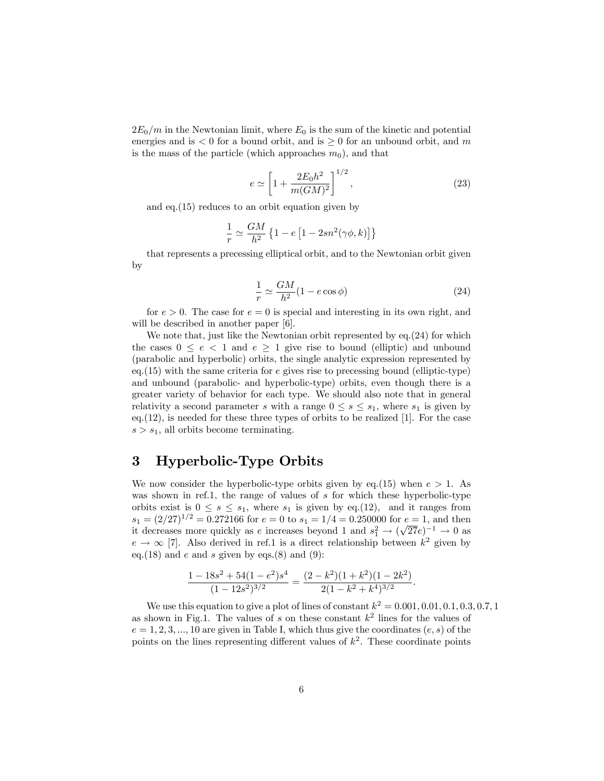$2E_0/m$  in the Newtonian limit, where  $E_0$  is the sum of the kinetic and potential energies and is  $< 0$  for a bound orbit, and is  $\geq 0$  for an unbound orbit, and m is the mass of the particle (which approaches  $m_0$ ), and that

$$
e \simeq \left[1 + \frac{2E_0 h^2}{m(GM)^2}\right]^{1/2},\tag{23}
$$

and eq.(15) reduces to an orbit equation given by

$$
\frac{1}{r} \simeq \frac{GM}{h^2} \left\{ 1 - e \left[ 1 - 2sn^2(\gamma \phi, k) \right] \right\}
$$

that represents a precessing elliptical orbit, and to the Newtonian orbit given by

$$
\frac{1}{r} \simeq \frac{GM}{h^2} (1 - e \cos \phi) \tag{24}
$$

for  $e > 0$ . The case for  $e = 0$  is special and interesting in its own right, and will be described in another paper [6].

We note that, just like the Newtonian orbit represented by eq.(24) for which the cases  $0 \le e < 1$  and  $e \ge 1$  give rise to bound (elliptic) and unbound (parabolic and hyperbolic) orbits, the single analytic expression represented by eq.  $(15)$  with the same criteria for e gives rise to precessing bound (elliptic-type) and unbound (parabolic- and hyperbolic-type) orbits, even though there is a greater variety of behavior for each type. We should also note that in general relativity a second parameter s with a range  $0 \leq s \leq s_1$ , where  $s_1$  is given by eq.(12), is needed for these three types of orbits to be realized [1]. For the case  $s > s_1$ , all orbits become terminating.

### 3 Hyperbolic-Type Orbits

We now consider the hyperbolic-type orbits given by eq.(15) when  $e > 1$ . As was shown in ref.1, the range of values of  $s$  for which these hyperbolic-type orbits exist is  $0 \leq s \leq s_1$ , where  $s_1$  is given by eq.(12), and it ranges from  $s_1 = (2/27)^{1/2} = 0.272166$  for  $e = 0$  to  $s_1 = 1/4 = 0.250000$  for  $e = 1$ , and then it decreases more quickly as e increases beyond 1 and  $s_1^2 \rightarrow (\sqrt{27}e)^{-1} \rightarrow 0$  as  $e \rightarrow \infty$  [7]. Also derived in ref.1 is a direct relationship between  $k^2$  given by eq.(18) and e and s given by eqs.(8) and (9):

$$
\frac{1 - 18s^2 + 54(1 - e^2)s^4}{(1 - 12s^2)^{3/2}} = \frac{(2 - k^2)(1 + k^2)(1 - 2k^2)}{2(1 - k^2 + k^4)^{3/2}}.
$$

We use this equation to give a plot of lines of constant  $k^2 = 0.001, 0.01, 0.1, 0.3, 0.7, 1$ as shown in Fig.1. The values of s on these constant  $k^2$  lines for the values of  $e = 1, 2, 3, ..., 10$  are given in Table I, which thus give the coordinates  $(e, s)$  of the points on the lines representing different values of  $k^2$ . These coordinate points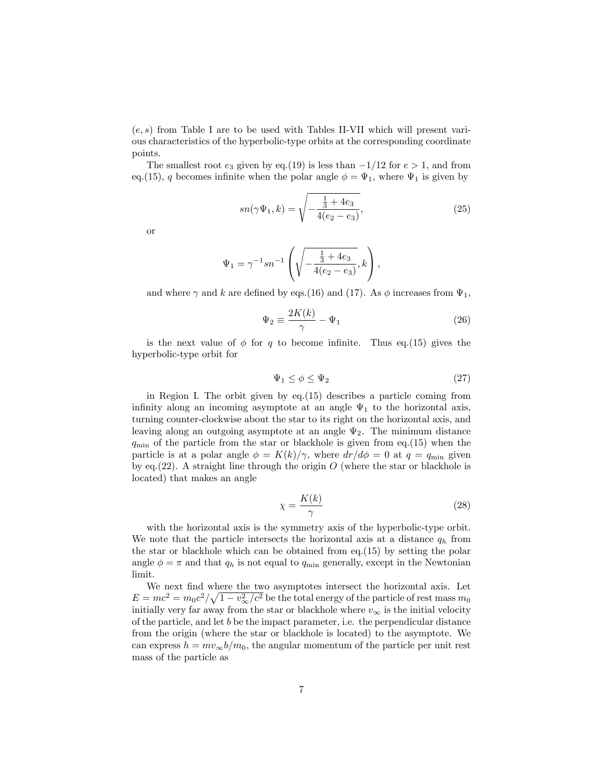$(e, s)$  from Table I are to be used with Tables II-VII which will present various characteristics of the hyperbolic-type orbits at the corresponding coordinate points.

The smallest root  $e_3$  given by eq.(19) is less than  $-1/12$  for  $e > 1$ , and from eq.(15), q becomes infinite when the polar angle  $\phi = \Psi_1$ , where  $\Psi_1$  is given by

$$
sn(\gamma \Psi_1, k) = \sqrt{-\frac{\frac{1}{3} + 4e_3}{4(e_2 - e_3)}},
$$
\n(25)

or

$$
\Psi_1 = \gamma^{-1} s n^{-1} \left( \sqrt{-\frac{\frac{1}{3} + 4e_3}{4(e_2 - e_3)}}, k \right),
$$

and where  $\gamma$  and k are defined by eqs.(16) and (17). As  $\phi$  increases from  $\Psi_1$ ,

$$
\Psi_2 \equiv \frac{2K(k)}{\gamma} - \Psi_1 \tag{26}
$$

is the next value of  $\phi$  for q to become infinite. Thus eq.(15) gives the hyperbolic-type orbit for

$$
\Psi_1 \le \phi \le \Psi_2 \tag{27}
$$

in Region I. The orbit given by eq.(15) describes a particle coming from infinity along an incoming asymptote at an angle  $\Psi_1$  to the horizontal axis, turning counter-clockwise about the star to its right on the horizontal axis, and leaving along an outgoing asymptote at an angle  $\Psi_2$ . The minimum distance  $q_{\min}$  of the particle from the star or blackhole is given from eq.(15) when the particle is at a polar angle  $\phi = K(k)/\gamma$ , where  $dr/d\phi = 0$  at  $q = q_{\text{min}}$  given by eq.(22). A straight line through the origin  $O$  (where the star or blackhole is located) that makes an angle

$$
\chi = \frac{K(k)}{\gamma} \tag{28}
$$

with the horizontal axis is the symmetry axis of the hyperbolic-type orbit. We note that the particle intersects the horizontal axis at a distance  $q_h$  from the star or blackhole which can be obtained from eq.(15) by setting the polar angle  $\phi = \pi$  and that  $q_h$  is not equal to  $q_{min}$  generally, except in the Newtonian limit.

We next find where the two asymptotes intersect the horizontal axis. Let  $E = mc^2 = m_0 c^2 / \sqrt{1 - v_{\infty}^2/c^2}$  be the total energy of the particle of rest mass  $m_0$ initially very far away from the star or blackhole where  $v_{\infty}$  is the initial velocity of the particle, and let  $b$  be the impact parameter, i.e. the perpendicular distance from the origin (where the star or blackhole is located) to the asymptote. We can express  $h = mv_{\infty}b/m_0$ , the angular momentum of the particle per unit rest mass of the particle as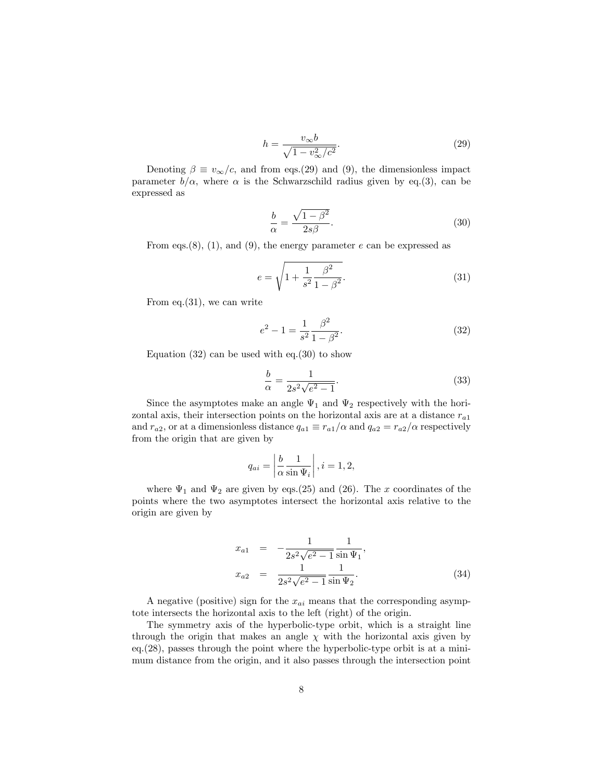$$
h = \frac{v_{\infty}b}{\sqrt{1 - v_{\infty}^2/c^2}}.\tag{29}
$$

Denoting  $\beta \equiv v_{\infty}/c$ , and from eqs.(29) and (9), the dimensionless impact parameter  $b/\alpha$ , where  $\alpha$  is the Schwarzschild radius given by eq.(3), can be expressed as

$$
\frac{b}{\alpha} = \frac{\sqrt{1 - \beta^2}}{2s\beta}.
$$
\n(30)

From eqs.(8), (1), and (9), the energy parameter  $e$  can be expressed as

$$
e = \sqrt{1 + \frac{1}{s^2} \frac{\beta^2}{1 - \beta^2}}.
$$
\n(31)

From eq.(31), we can write

$$
e^{2} - 1 = \frac{1}{s^{2}} \frac{\beta^{2}}{1 - \beta^{2}}.
$$
 (32)

Equation  $(32)$  can be used with eq. $(30)$  to show

$$
\frac{b}{\alpha} = \frac{1}{2s^2\sqrt{e^2 - 1}}.\tag{33}
$$

Since the asymptotes make an angle  $\Psi_1$  and  $\Psi_2$  respectively with the horizontal axis, their intersection points on the horizontal axis are at a distance  $r_{a1}$ and  $r_{a2}$ , or at a dimensionless distance  $q_{a1} \equiv r_{a1}/\alpha$  and  $q_{a2} = r_{a2}/\alpha$  respectively from the origin that are given by

$$
q_{ai} = \left| \frac{b}{\alpha} \frac{1}{\sin \Psi_i} \right|, i = 1, 2,
$$

where  $\Psi_1$  and  $\Psi_2$  are given by eqs.(25) and (26). The x coordinates of the points where the two asymptotes intersect the horizontal axis relative to the origin are given by

$$
x_{a1} = -\frac{1}{2s^2\sqrt{e^2 - 1}} \frac{1}{\sin \Psi_1},
$$
  
\n
$$
x_{a2} = \frac{1}{2s^2\sqrt{e^2 - 1}} \frac{1}{\sin \Psi_2}.
$$
\n(34)

A negative (positive) sign for the  $x_{ai}$  means that the corresponding asymptote intersects the horizontal axis to the left (right) of the origin.

The symmetry axis of the hyperbolic-type orbit, which is a straight line through the origin that makes an angle  $\chi$  with the horizontal axis given by eq.(28), passes through the point where the hyperbolic-type orbit is at a minimum distance from the origin, and it also passes through the intersection point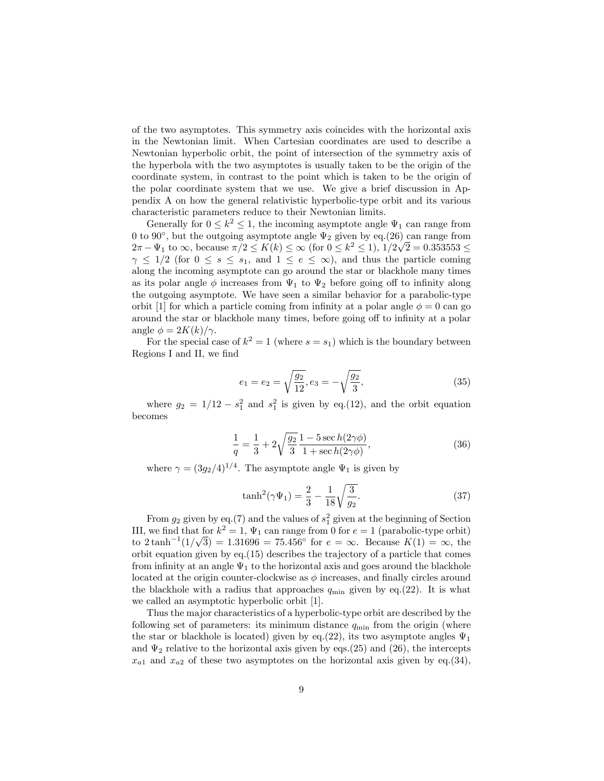of the two asymptotes. This symmetry axis coincides with the horizontal axis in the Newtonian limit. When Cartesian coordinates are used to describe a Newtonian hyperbolic orbit, the point of intersection of the symmetry axis of the hyperbola with the two asymptotes is usually taken to be the origin of the coordinate system, in contrast to the point which is taken to be the origin of the polar coordinate system that we use. We give a brief discussion in Appendix A on how the general relativistic hyperbolic-type orbit and its various characteristic parameters reduce to their Newtonian limits.

Generally for  $0 \leq k^2 \leq 1$ , the incoming asymptote angle  $\Psi_1$  can range from 0 to 90 $^{\circ}$ , but the outgoing asymptote angle  $\Psi_2$  given by eq.(26) can range from  $2\pi - \Psi_1$  to  $\infty$ , because  $\pi/2 \le K(k) \le \infty$  (for  $0 \le k^2 \le 1$ ),  $1/2\sqrt{2} = 0.353553 \le k^2$  $\gamma \leq 1/2$  (for  $0 \leq s \leq s_1$ , and  $1 \leq e \leq \infty$ ), and thus the particle coming along the incoming asymptote can go around the star or blackhole many times as its polar angle  $\phi$  increases from  $\Psi_1$  to  $\Psi_2$  before going off to infinity along the outgoing asymptote. We have seen a similar behavior for a parabolic-type orbit [1] for which a particle coming from infinity at a polar angle  $\phi = 0$  can go around the star or blackhole many times, before going off to infinity at a polar angle  $\phi = 2K(k)/\gamma$ .

For the special case of  $k^2 = 1$  (where  $s = s_1$ ) which is the boundary between Regions I and II, we find

$$
e_1 = e_2 = \sqrt{\frac{g_2}{12}}, e_3 = -\sqrt{\frac{g_2}{3}},
$$
\n(35)

where  $g_2 = 1/12 - s_1^2$  and  $s_1^2$  is given by eq.(12), and the orbit equation becomes

$$
\frac{1}{q} = \frac{1}{3} + 2\sqrt{\frac{g_2}{3}} \frac{1 - 5\sec h(2\gamma\phi)}{1 + \sec h(2\gamma\phi)},
$$
\n(36)

where  $\gamma = (3g_2/4)^{1/4}$ . The asymptote angle  $\Psi_1$  is given by

$$
\tanh^2(\gamma \Psi_1) = \frac{2}{3} - \frac{1}{18} \sqrt{\frac{3}{g_2}}.
$$
 (37)

From  $g_2$  given by eq.(7) and the values of  $s_1^2$  given at the beginning of Section III, we find that for  $k^2 = 1$ ,  $\Psi_1$  can range from 0 for  $e = 1$  (parabolic-type orbit) to  $2 \tanh^{-1}(1/\sqrt{3}) = 1.31696 = 75.456^{\circ}$  for  $e = \infty$ . Because  $K(1) = \infty$ , the orbit equation given by eq.(15) describes the trajectory of a particle that comes from infinity at an angle  $\Psi_1$  to the horizontal axis and goes around the blackhole located at the origin counter-clockwise as  $\phi$  increases, and finally circles around the blackhole with a radius that approaches  $q_{\min}$  given by eq.(22). It is what we called an asymptotic hyperbolic orbit [1].

Thus the major characteristics of a hyperbolic-type orbit are described by the following set of parameters: its minimum distance  $q_{\min}$  from the origin (where the star or blackhole is located) given by eq.(22), its two asymptote angles  $\Psi_1$ and  $\Psi_2$  relative to the horizontal axis given by eqs.(25) and (26), the intercepts  $x_{a1}$  and  $x_{a2}$  of these two asymptotes on the horizontal axis given by eq.(34),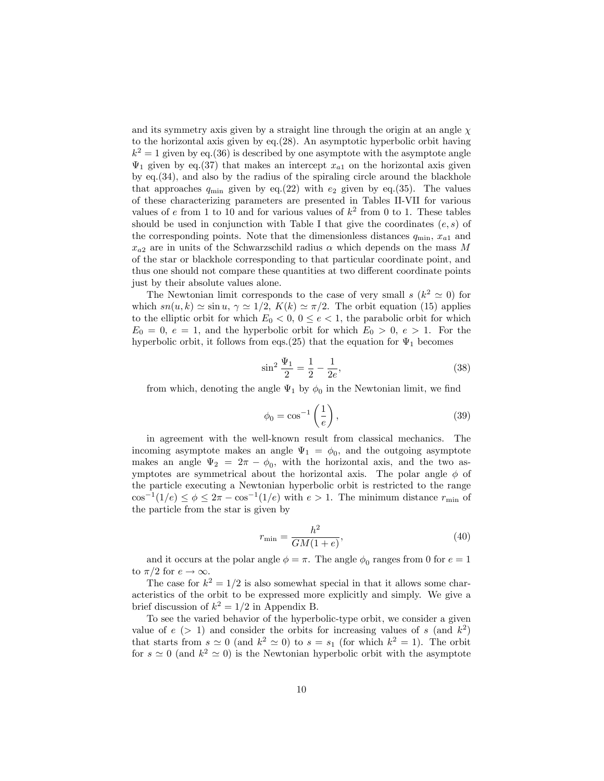and its symmetry axis given by a straight line through the origin at an angle  $\chi$ to the horizontal axis given by eq.(28). An asymptotic hyperbolic orbit having  $k^2 = 1$  given by eq.(36) is described by one asymptote with the asymptote angle  $\Psi_1$  given by eq.(37) that makes an intercept  $x_{a1}$  on the horizontal axis given by eq.(34), and also by the radius of the spiraling circle around the blackhole that approaches  $q_{\min}$  given by eq.(22) with  $e_2$  given by eq.(35). The values of these characterizing parameters are presented in Tables II-VII for various values of e from 1 to 10 and for various values of  $k^2$  from 0 to 1. These tables should be used in conjunction with Table I that give the coordinates  $(e, s)$  of the corresponding points. Note that the dimensionless distances  $q_{\min}$ ,  $x_{a1}$  and  $x_{a2}$  are in units of the Schwarzschild radius  $\alpha$  which depends on the mass M of the star or blackhole corresponding to that particular coordinate point, and thus one should not compare these quantities at two different coordinate points just by their absolute values alone.

The Newtonian limit corresponds to the case of very small  $s$  ( $k^2 \simeq 0$ ) for which  $sn(u, k) \simeq \sin u$ ,  $\gamma \simeq 1/2$ ,  $K(k) \simeq \pi/2$ . The orbit equation (15) applies to the elliptic orbit for which  $E_0 < 0, 0 \le e < 1$ , the parabolic orbit for which  $E_0 = 0, e = 1$ , and the hyperbolic orbit for which  $E_0 > 0, e > 1$ . For the hyperbolic orbit, it follows from eqs.(25) that the equation for  $\Psi_1$  becomes

$$
\sin^2 \frac{\Psi_1}{2} = \frac{1}{2} - \frac{1}{2e},\tag{38}
$$

from which, denoting the angle  $\Psi_1$  by  $\phi_0$  in the Newtonian limit, we find

$$
\phi_0 = \cos^{-1}\left(\frac{1}{e}\right),\tag{39}
$$

in agreement with the well-known result from classical mechanics. The incoming asymptote makes an angle  $\Psi_1 = \phi_0$ , and the outgoing asymptote makes an angle  $\Psi_2 = 2\pi - \phi_0$ , with the horizontal axis, and the two asymptotes are symmetrical about the horizontal axis. The polar angle  $\phi$  of the particle executing a Newtonian hyperbolic orbit is restricted to the range  $\cos^{-1}(1/e) \leq \phi \leq 2\pi - \cos^{-1}(1/e)$  with  $e > 1$ . The minimum distance  $r_{\min}$  of the particle from the star is given by

$$
r_{\min} = \frac{h^2}{GM(1+e)},\tag{40}
$$

and it occurs at the polar angle  $\phi = \pi$ . The angle  $\phi_0$  ranges from 0 for  $e = 1$ to  $\pi/2$  for  $e \to \infty$ .

The case for  $k^2 = 1/2$  is also somewhat special in that it allows some characteristics of the orbit to be expressed more explicitly and simply. We give a brief discussion of  $k^2 = 1/2$  in Appendix B.

To see the varied behavior of the hyperbolic-type orbit, we consider a given value of  $e$  (> 1) and consider the orbits for increasing values of s (and  $k^2$ ) that starts from  $s \simeq 0$  (and  $k^2 \simeq 0$ ) to  $s = s_1$  (for which  $k^2 = 1$ ). The orbit for  $s \simeq 0$  (and  $k^2 \simeq 0$ ) is the Newtonian hyperbolic orbit with the asymptote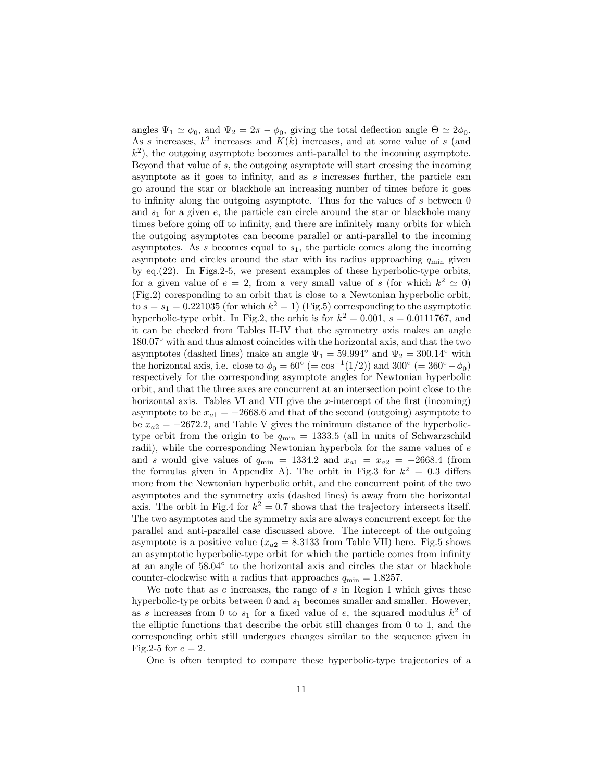angles  $\Psi_1 \simeq \phi_0$ , and  $\Psi_2 = 2\pi - \phi_0$ , giving the total deflection angle  $\Theta \simeq 2\phi_0$ . As s increases,  $k^2$  increases and  $K(k)$  increases, and at some value of s (and  $(k<sup>2</sup>)$ , the outgoing asymptote becomes anti-parallel to the incoming asymptote. Beyond that value of s, the outgoing asymptote will start crossing the incoming asymptote as it goes to infinity, and as s increases further, the particle can go around the star or blackhole an increasing number of times before it goes to infinity along the outgoing asymptote. Thus for the values of  $s$  between  $0$ and  $s_1$  for a given e, the particle can circle around the star or blackhole many times before going off to infinity, and there are infinitely many orbits for which the outgoing asymptotes can become parallel or anti-parallel to the incoming asymptotes. As s becomes equal to  $s_1$ , the particle comes along the incoming asymptote and circles around the star with its radius approaching  $q_{\min}$  given by eq.(22). In Figs.2-5, we present examples of these hyperbolic-type orbits, for a given value of  $e = 2$ , from a very small value of s (for which  $k^2 \simeq 0$ ) (Fig.2) coresponding to an orbit that is close to a Newtonian hyperbolic orbit, to  $s = s_1 = 0.221035$  (for which  $k^2 = 1$ ) (Fig.5) corresponding to the asymptotic hyperbolic-type orbit. In Fig.2, the orbit is for  $k^2 = 0.001$ ,  $s = 0.0111767$ , and it can be checked from Tables II-IV that the symmetry axis makes an angle 180:07 with and thus almost coincides with the horizontal axis, and that the two asymptotes (dashed lines) make an angle  $\Psi_1 = 59.994^{\circ}$  and  $\Psi_2 = 300.14^{\circ}$  with the horizontal axis, i.e. close to  $\phi_0 = 60^{\circ}$  (=  $\cos^{-1}(1/2)$ ) and 300° (= 360° -  $\phi_0$ ) respectively for the corresponding asymptote angles for Newtonian hyperbolic orbit, and that the three axes are concurrent at an intersection point close to the horizontal axis. Tables VI and VII give the x-intercept of the first (incoming) asymptote to be  $x_{a1} = -2668.6$  and that of the second (outgoing) asymptote to be  $x_{a2} = -2672.2$ , and Table V gives the minimum distance of the hyperbolictype orbit from the origin to be  $q_{\min} = 1333.5$  (all in units of Schwarzschild radii), while the corresponding Newtonian hyperbola for the same values of  $e$ and s would give values of  $q_{\min} = 1334.2$  and  $x_{a1} = x_{a2} = -2668.4$  (from the formulas given in Appendix A). The orbit in Fig.3 for  $k^2 = 0.3$  differs more from the Newtonian hyperbolic orbit, and the concurrent point of the two asymptotes and the symmetry axis (dashed lines) is away from the horizontal axis. The orbit in Fig.4 for  $k^2 = 0.7$  shows that the trajectory intersects itself. The two asymptotes and the symmetry axis are always concurrent except for the parallel and anti-parallel case discussed above. The intercept of the outgoing asymptote is a positive value  $(x_{a2} = 8.3133 \text{ from Table VII})$  here. Fig.5 shows an asymptotic hyperbolic-type orbit for which the particle comes from infinity at an angle of  $58.04^{\circ}$  to the horizontal axis and circles the star or blackhole counter-clockwise with a radius that approaches  $q_{\min} = 1.8257$ .

We note that as  $e$  increases, the range of  $s$  in Region I which gives these hyperbolic-type orbits between 0 and  $s_1$  becomes smaller and smaller. However, as s increases from 0 to  $s_1$  for a fixed value of e, the squared modulus  $k^2$  of the elliptic functions that describe the orbit still changes from 0 to 1, and the corresponding orbit still undergoes changes similar to the sequence given in Fig.2-5 for  $e = 2$ .

One is often tempted to compare these hyperbolic-type trajectories of a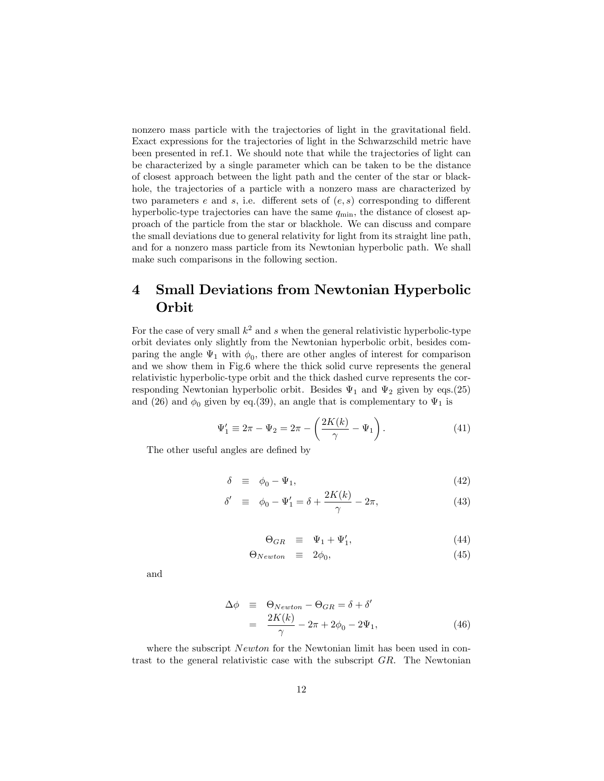nonzero mass particle with the trajectories of light in the gravitational field. Exact expressions for the trajectories of light in the Schwarzschild metric have been presented in ref.1. We should note that while the trajectories of light can be characterized by a single parameter which can be taken to be the distance of closest approach between the light path and the center of the star or blackhole, the trajectories of a particle with a nonzero mass are characterized by two parameters  $e$  and  $s$ , i.e. different sets of  $(e, s)$  corresponding to different hyperbolic-type trajectories can have the same  $q_{\min}$ , the distance of closest approach of the particle from the star or blackhole. We can discuss and compare the small deviations due to general relativity for light from its straight line path, and for a nonzero mass particle from its Newtonian hyperbolic path. We shall make such comparisons in the following section.

## 4 Small Deviations from Newtonian Hyperbolic Orbit

For the case of very small  $k^2$  and s when the general relativistic hyperbolic-type orbit deviates only slightly from the Newtonian hyperbolic orbit, besides comparing the angle  $\Psi_1$  with  $\phi_0$ , there are other angles of interest for comparison and we show them in Fig.6 where the thick solid curve represents the general relativistic hyperbolic-type orbit and the thick dashed curve represents the corresponding Newtonian hyperbolic orbit. Besides  $\Psi_1$  and  $\Psi_2$  given by eqs.(25) and (26) and  $\phi_0$  given by eq.(39), an angle that is complementary to  $\Psi_1$  is

$$
\Psi_1' \equiv 2\pi - \Psi_2 = 2\pi - \left(\frac{2K(k)}{\gamma} - \Psi_1\right). \tag{41}
$$

The other useful angles are defined by

$$
\delta \equiv \phi_0 - \Psi_1,\tag{42}
$$

$$
\delta' \equiv \phi_0 - \Psi'_1 = \delta + \frac{2K(k)}{\gamma} - 2\pi,\tag{43}
$$

$$
\Theta_{GR} \equiv \Psi_1 + \Psi'_1, \tag{44}
$$

$$
\Theta_{Newton} \equiv 2\phi_0,\tag{45}
$$

and

$$
\begin{array}{rcl}\n\Delta \phi & \equiv & \Theta_{Newton} - \Theta_{GR} = \delta + \delta' \\
& = & \frac{2K(k)}{\gamma} - 2\pi + 2\phi_0 - 2\Psi_1,\n\end{array} \tag{46}
$$

where the subscript *Newton* for the Newtonian limit has been used in contrast to the general relativistic case with the subscript GR. The Newtonian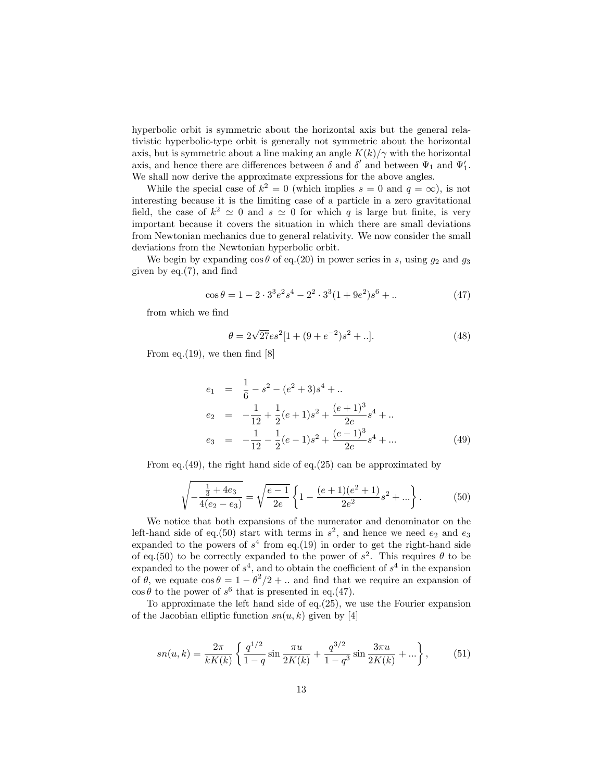hyperbolic orbit is symmetric about the horizontal axis but the general relativistic hyperbolic-type orbit is generally not symmetric about the horizontal axis, but is symmetric about a line making an angle  $K(k)/\gamma$  with the horizontal axis, and hence there are differences between  $\delta$  and  $\delta'$  and between  $\Psi_1$  and  $\Psi'_1$ . We shall now derive the approximate expressions for the above angles.

While the special case of  $k^2 = 0$  (which implies  $s = 0$  and  $q = \infty$ ), is not interesting because it is the limiting case of a particle in a zero gravitational field, the case of  $k^2 \simeq 0$  and  $s \simeq 0$  for which q is large but finite, is very important because it covers the situation in which there are small deviations from Newtonian mechanics due to general relativity. We now consider the small deviations from the Newtonian hyperbolic orbit.

We begin by expanding  $\cos \theta$  of eq.(20) in power series in s, using  $g_2$  and  $g_3$ given by  $eq.(7)$ , and find

$$
\cos \theta = 1 - 2 \cdot 3^3 e^2 s^4 - 2^2 \cdot 3^3 (1 + 9e^2) s^6 + \dots \tag{47}
$$

from which we find

$$
\theta = 2\sqrt{27}es^2[1 + (9 + e^{-2})s^2 + ..].
$$
\n(48)

From eq.  $(19)$ , we then find  $[8]$ 

$$
e_1 = \frac{1}{6} - s^2 - (e^2 + 3)s^4 + \dots
$$
  
\n
$$
e_2 = -\frac{1}{12} + \frac{1}{2}(e+1)s^2 + \frac{(e+1)^3}{2e}s^4 + \dots
$$
  
\n
$$
e_3 = -\frac{1}{12} - \frac{1}{2}(e-1)s^2 + \frac{(e-1)^3}{2e}s^4 + \dots
$$
 (49)

From eq.(49), the right hand side of eq.(25) can be approximated by

$$
\sqrt{-\frac{\frac{1}{3} + 4e_3}{4(e_2 - e_3)}} = \sqrt{\frac{e - 1}{2e}} \left\{ 1 - \frac{(e + 1)(e^2 + 1)}{2e^2} s^2 + \dots \right\}.
$$
 (50)

We notice that both expansions of the numerator and denominator on the left-hand side of eq.(50) start with terms in  $s^2$ , and hence we need  $e_2$  and  $e_3$ expanded to the powers of  $s<sup>4</sup>$  from eq.(19) in order to get the right-hand side of eq.(50) to be correctly expanded to the power of  $s^2$ . This requires  $\theta$  to be expanded to the power of  $s^4$ , and to obtain the coefficient of  $s^4$  in the expansion of  $\theta$ , we equate  $\cos \theta = 1 - \theta^2/2 + ...$  and find that we require an expansion of  $\cos \theta$  to the power of  $s^6$  that is presented in eq.(47).

To approximate the left hand side of eq.(25), we use the Fourier expansion of the Jacobian elliptic function  $sn(u, k)$  given by [4]

$$
sn(u,k) = \frac{2\pi}{kK(k)} \left\{ \frac{q^{1/2}}{1-q} \sin \frac{\pi u}{2K(k)} + \frac{q^{3/2}}{1-q^3} \sin \frac{3\pi u}{2K(k)} + \ldots \right\},
$$
(51)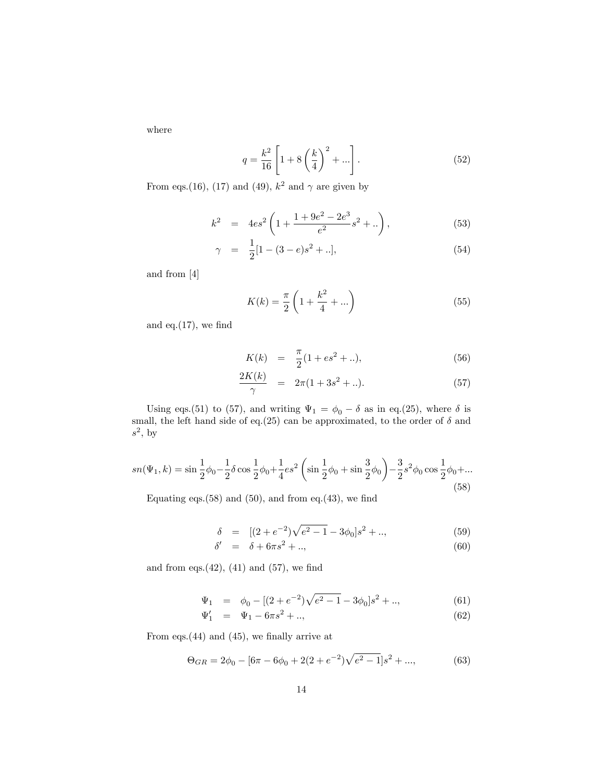where

$$
q = \frac{k^2}{16} \left[ 1 + 8\left(\frac{k}{4}\right)^2 + \dots \right].
$$
 (52)

From eqs.(16), (17) and (49),  $k^2$  and  $\gamma$  are given by

$$
k^{2} = 4es^{2} \left( 1 + \frac{1 + 9e^{2} - 2e^{3}}{e^{2}}s^{2} + .. \right), \qquad (53)
$$

$$
\gamma = \frac{1}{2} [1 - (3 - e)s^2 + ..], \tag{54}
$$

and from [4]

$$
K(k) = \frac{\pi}{2} \left( 1 + \frac{k^2}{4} + \dots \right)
$$
 (55)

and eq. $(17)$ , we find

$$
K(k) = \frac{\pi}{2}(1 + es^2 + ..), \tag{56}
$$

$$
\frac{2K(k)}{\gamma} = 2\pi (1 + 3s^2 + \ldots). \tag{57}
$$

Using eqs.(51) to (57), and writing  $\Psi_1 = \phi_0 - \delta$  as in eq.(25), where  $\delta$  is small, the left hand side of eq.(25) can be approximated, to the order of  $\delta$  and  $s^2$ , by

$$
sn(\Psi_1, k) = \sin\frac{1}{2}\phi_0 - \frac{1}{2}\delta\cos\frac{1}{2}\phi_0 + \frac{1}{4}es^2\left(\sin\frac{1}{2}\phi_0 + \sin\frac{3}{2}\phi_0\right) - \frac{3}{2}s^2\phi_0\cos\frac{1}{2}\phi_0 + \dots
$$
\n(58)

Equating eqs. $(58)$  and  $(50)$ , and from eq. $(43)$ , we find

$$
\delta = [(2 + e^{-2})\sqrt{e^2 - 1} - 3\phi_0]s^2 + ..,\tag{59}
$$

$$
\delta' = \delta + 6\pi s^2 + \dots,\tag{60}
$$

and from eqs. $(42)$ ,  $(41)$  and  $(57)$ , we find

$$
\Psi_1 = \phi_0 - [(2 + e^{-2})\sqrt{e^2 - 1} - 3\phi_0]s^2 + \dots \tag{61}
$$

$$
\Psi_1' = \Psi_1 - 6\pi s^2 + ..,\tag{62}
$$

From eqs. $(44)$  and  $(45)$ , we finally arrive at

$$
\Theta_{GR} = 2\phi_0 - [6\pi - 6\phi_0 + 2(2 + e^{-2})\sqrt{e^2 - 1}]s^2 + ..., \tag{63}
$$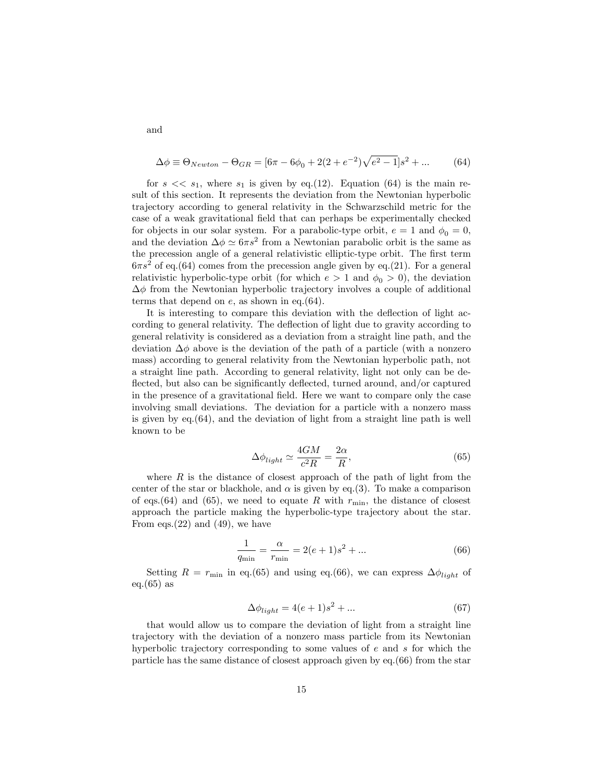$$
\Delta \phi \equiv \Theta_{Newton} - \Theta_{GR} = [6\pi - 6\phi_0 + 2(2 + e^{-2})\sqrt{e^2 - 1}]s^2 + ... \tag{64}
$$

for  $s \ll s_1$ , where  $s_1$  is given by eq.(12). Equation (64) is the main result of this section. It represents the deviation from the Newtonian hyperbolic trajectory according to general relativity in the Schwarzschild metric for the case of a weak gravitational Öeld that can perhaps be experimentally checked for objects in our solar system. For a parabolic-type orbit,  $e = 1$  and  $\phi_0 = 0$ , and the deviation  $\Delta \phi \simeq 6\pi s^2$  from a Newtonian parabolic orbit is the same as the precession angle of a general relativistic elliptic-type orbit. The first term  $6\pi s^2$  of eq.(64) comes from the precession angle given by eq.(21). For a general relativistic hyperbolic-type orbit (for which  $e > 1$  and  $\phi_0 > 0$ ), the deviation  $\Delta\phi$  from the Newtonian hyperbolic trajectory involves a couple of additional terms that depend on e, as shown in eq.(64).

It is interesting to compare this deviation with the deflection of light according to general relativity. The deflection of light due to gravity according to general relativity is considered as a deviation from a straight line path, and the deviation  $\Delta\phi$  above is the deviation of the path of a particle (with a nonzero mass) according to general relativity from the Newtonian hyperbolic path, not a straight line path. According to general relativity, light not only can be deflected, but also can be significantly deflected, turned around, and/or captured in the presence of a gravitational field. Here we want to compare only the case involving small deviations. The deviation for a particle with a nonzero mass is given by  $eq.64$ ), and the deviation of light from a straight line path is well known to be

$$
\Delta \phi_{light} \simeq \frac{4GM}{c^2 R} = \frac{2\alpha}{R},\tag{65}
$$

where  $R$  is the distance of closest approach of the path of light from the center of the star or blackhole, and  $\alpha$  is given by eq.(3). To make a comparison of eqs.(64) and (65), we need to equate R with  $r_{\text{min}}$ , the distance of closest approach the particle making the hyperbolic-type trajectory about the star. From eqs.  $(22)$  and  $(49)$ , we have

$$
\frac{1}{q_{\min}} = \frac{\alpha}{r_{\min}} = 2(e+1)s^2 + \dots
$$
 (66)

Setting  $R = r_{\text{min}}$  in eq.(65) and using eq.(66), we can express  $\Delta \phi_{light}$  of eq. $(65)$  as

$$
\Delta \phi_{light} = 4(e+1)s^2 + \dots \tag{67}
$$

that would allow us to compare the deviation of light from a straight line trajectory with the deviation of a nonzero mass particle from its Newtonian hyperbolic trajectory corresponding to some values of e and s for which the particle has the same distance of closest approach given by eq.(66) from the star

and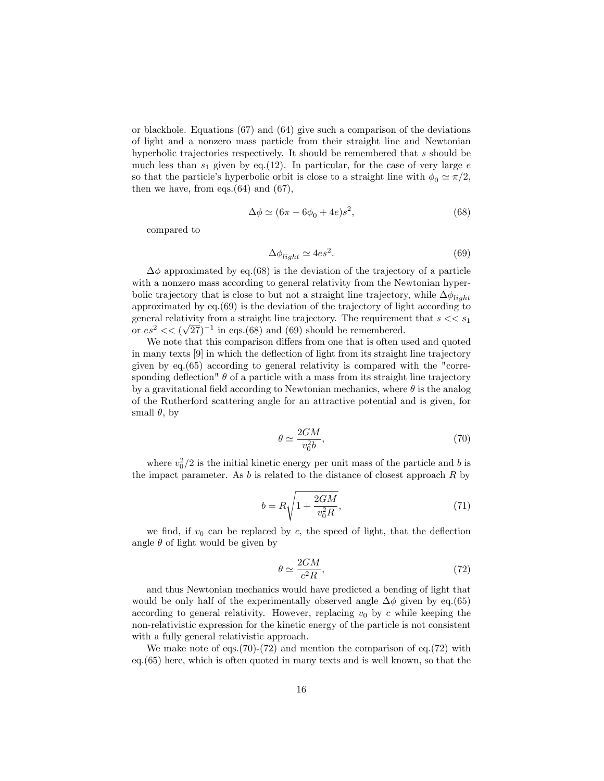or blackhole. Equations (67) and (64) give such a comparison of the deviations of light and a nonzero mass particle from their straight line and Newtonian hyperbolic trajectories respectively. It should be remembered that s should be much less than  $s_1$  given by eq.(12). In particular, for the case of very large  $e$ so that the particle's hyperbolic orbit is close to a straight line with  $\phi_0 \simeq \pi/2$ , then we have, from eqs. $(64)$  and  $(67)$ ,

$$
\Delta \phi \simeq (6\pi - 6\phi_0 + 4e)s^2,\tag{68}
$$

compared to

$$
\Delta \phi_{light} \simeq 4es^2. \tag{69}
$$

 $\Delta\phi$  approximated by eq.(68) is the deviation of the trajectory of a particle with a nonzero mass according to general relativity from the Newtonian hyperbolic trajectory that is close to but not a straight line trajectory, while  $\Delta \phi_{light}$ approximated by eq.(69) is the deviation of the trajectory of light according to general relativity from a straight line trajectory. The requirement that  $s \ll s_1$ or  $es^2 \ll (\sqrt{27})^{-1}$  in eqs.(68) and (69) should be remembered.

We note that this comparison differs from one that is often used and quoted in many texts  $[9]$  in which the deflection of light from its straight line trajectory given by eq.(65) according to general relativity is compared with the "corresponding deflection"  $\theta$  of a particle with a mass from its straight line trajectory by a gravitational field according to Newtonian mechanics, where  $\theta$  is the analog of the Rutherford scattering angle for an attractive potential and is given, for small  $\theta$ , by

$$
\theta \simeq \frac{2GM}{v_0^2 b},\tag{70}
$$

where  $v_0^2/2$  is the initial kinetic energy per unit mass of the particle and b is the impact parameter. As  $b$  is related to the distance of closest approach  $R$  by

$$
b = R\sqrt{1 + \frac{2GM}{v_0^2 R}},
$$
\n(71)

we find, if  $v_0$  can be replaced by c, the speed of light, that the deflection angle  $\theta$  of light would be given by

$$
\theta \simeq \frac{2GM}{c^2 R},\tag{72}
$$

and thus Newtonian mechanics would have predicted a bending of light that would be only half of the experimentally observed angle  $\Delta\phi$  given by eq.(65) according to general relativity. However, replacing  $v_0$  by c while keeping the non-relativistic expression for the kinetic energy of the particle is not consistent with a fully general relativistic approach.

We make note of eqs.  $(70)-(72)$  and mention the comparison of eq.  $(72)$  with eq.(65) here, which is often quoted in many texts and is well known, so that the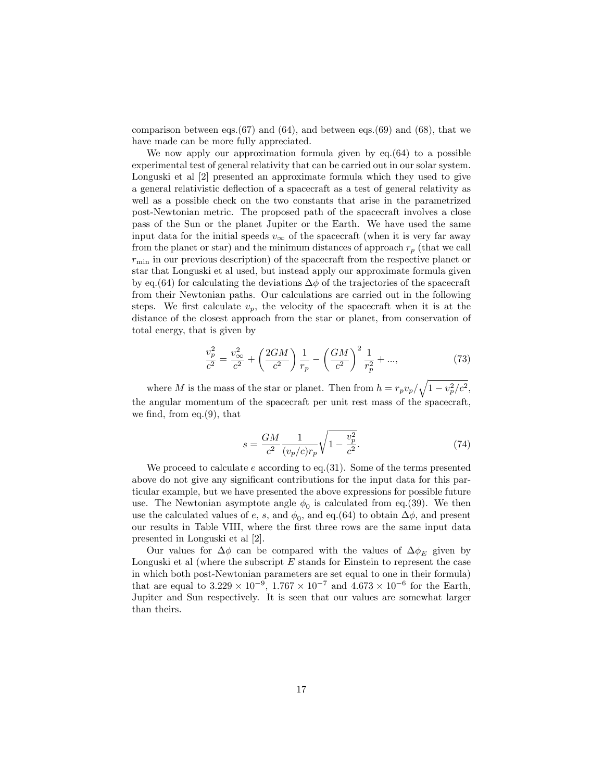comparison between eqs. $(67)$  and  $(64)$ , and between eqs. $(69)$  and  $(68)$ , that we have made can be more fully appreciated.

We now apply our approximation formula given by  $eq.(64)$  to a possible experimental test of general relativity that can be carried out in our solar system. Longuski et al [2] presented an approximate formula which they used to give a general relativistic deflection of a spacecraft as a test of general relativity as well as a possible check on the two constants that arise in the parametrized post-Newtonian metric. The proposed path of the spacecraft involves a close pass of the Sun or the planet Jupiter or the Earth. We have used the same input data for the initial speeds  $v_{\infty}$  of the spacecraft (when it is very far away from the planet or star) and the minimum distances of approach  $r_p$  (that we call  $r_{\min}$  in our previous description) of the spacecraft from the respective planet or star that Longuski et al used, but instead apply our approximate formula given by eq.(64) for calculating the deviations  $\Delta\phi$  of the trajectories of the spacecraft from their Newtonian paths. Our calculations are carried out in the following steps. We first calculate  $v_p$ , the velocity of the spacecraft when it is at the distance of the closest approach from the star or planet, from conservation of total energy, that is given by

$$
\frac{v_p^2}{c^2} = \frac{v_{\infty}^2}{c^2} + \left(\frac{2GM}{c^2}\right)\frac{1}{r_p} - \left(\frac{GM}{c^2}\right)^2\frac{1}{r_p^2} + ..., \qquad (73)
$$

where M is the mass of the star or planet. Then from  $h = r_p v_p / \sqrt{1 - v_p^2/c^2}$ , the angular momentum of the spacecraft per unit rest mass of the spacecraft, we find, from eq. $(9)$ , that

$$
s = \frac{GM}{c^2} \frac{1}{(v_p/c)r_p} \sqrt{1 - \frac{v_p^2}{c^2}}.
$$
 (74)

We proceed to calculate e according to eq.  $(31)$ . Some of the terms presented above do not give any significant contributions for the input data for this particular example, but we have presented the above expressions for possible future use. The Newtonian asymptote angle  $\phi_0$  is calculated from eq.(39). We then use the calculated values of e, s, and  $\phi_0$ , and eq.(64) to obtain  $\Delta\phi$ , and present our results in Table VIII, where the first three rows are the same input data presented in Longuski et al [2].

Our values for  $\Delta\phi$  can be compared with the values of  $\Delta\phi_E$  given by Longuski et al (where the subscript  $E$  stands for Einstein to represent the case in which both post-Newtonian parameters are set equal to one in their formula) that are equal to  $3.229 \times 10^{-9}$ ,  $1.767 \times 10^{-7}$  and  $4.673 \times 10^{-6}$  for the Earth, Jupiter and Sun respectively. It is seen that our values are somewhat larger than theirs.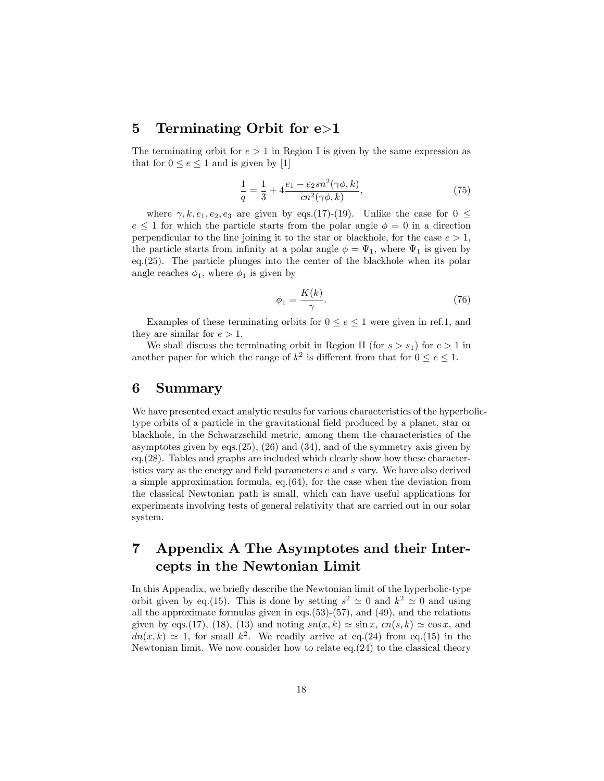#### 5 Terminating Orbit for e>1

The terminating orbit for  $e > 1$  in Region I is given by the same expression as that for  $0 \le e \le 1$  and is given by [1]

$$
\frac{1}{q} = \frac{1}{3} + 4\frac{e_1 - e_2sn^2(\gamma\phi, k)}{cn^2(\gamma\phi, k)},
$$
\n(75)

where  $\gamma, k, e_1, e_2, e_3$  are given by eqs.(17)-(19). Unlike the case for  $0 \le$  $e \leq 1$  for which the particle starts from the polar angle  $\phi = 0$  in a direction perpendicular to the line joining it to the star or blackhole, for the case  $e > 1$ , the particle starts from infinity at a polar angle  $\phi = \Psi_1$ , where  $\Psi_1$  is given by eq.(25). The particle plunges into the center of the blackhole when its polar angle reaches  $\phi_1$ , where  $\phi_1$  is given by

$$
\phi_1 = \frac{K(k)}{\gamma}.\tag{76}
$$

Examples of these terminating orbits for  $0 \le e \le 1$  were given in ref.1, and they are similar for  $e > 1$ .

We shall discuss the terminating orbit in Region II (for  $s > s_1$ ) for  $e > 1$  in another paper for which the range of  $k^2$  is different from that for  $0 \le e \le 1$ .

#### 6 Summary

We have presented exact analytic results for various characteristics of the hyperbolictype orbits of a particle in the gravitational field produced by a planet, star or blackhole, in the Schwarzschild metric, among them the characteristics of the asymptotes given by eqs.  $(25)$ ,  $(26)$  and  $(34)$ , and of the symmetry axis given by eq.(28). Tables and graphs are included which clearly show how these characteristics vary as the energy and field parameters  $e$  and  $s$  vary. We have also derived a simple approximation formula, eq.(64), for the case when the deviation from the classical Newtonian path is small, which can have useful applications for experiments involving tests of general relativity that are carried out in our solar system.

### 7 Appendix A The Asymptotes and their Intercepts in the Newtonian Limit

In this Appendix, we briefly describe the Newtonian limit of the hyperbolic-type orbit given by eq.(15). This is done by setting  $s^2 \simeq 0$  and  $k^2 \simeq 0$  and using all the approximate formulas given in eqs.(53)-(57), and (49), and the relations given by eqs.(17), (18), (13) and noting  $sn(x, k) \approx \sin x$ ,  $cn(s, k) \approx \cos x$ , and  $dn(x,k) \simeq 1$ , for small  $k^2$ . We readily arrive at eq.(24) from eq.(15) in the Newtonian limit. We now consider how to relate  $eq.(24)$  to the classical theory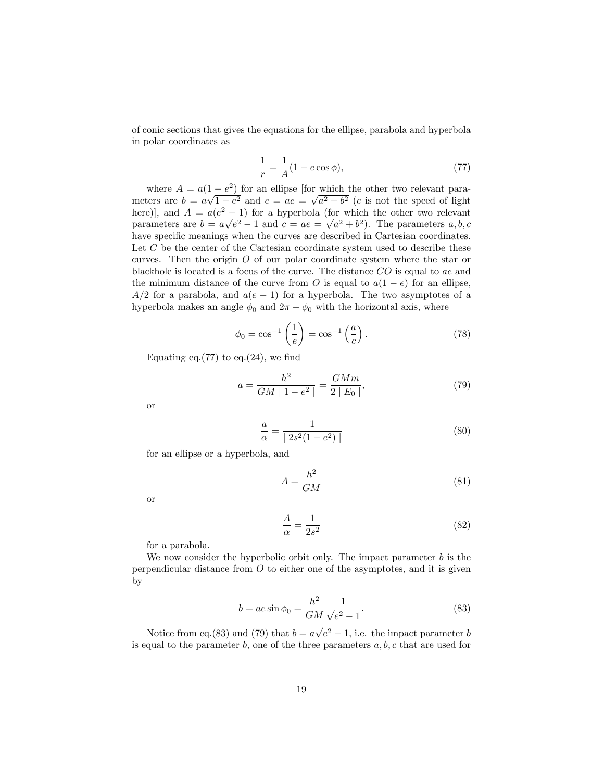of conic sections that gives the equations for the ellipse, parabola and hyperbola in polar coordinates as

$$
\frac{1}{r} = \frac{1}{A}(1 - e \cos \phi),
$$
\n(77)

where  $A = a(1 - e^2)$  for an ellipse [for which the other two relevant parameters are  $b = a\sqrt{1-e^2}$  and  $c = ae = \sqrt{a^2-b^2}$  (c is not the speed of light here), and  $A = a(e^2 - 1)$  for a hyperbola (for which the other two relevant parameters are  $b = a\sqrt{e^2 - 1}$  and  $c = ae = \sqrt{a^2 + b^2}$ . The parameters  $a, b, c$ have specific meanings when the curves are described in Cartesian coordinates. Let  $C$  be the center of the Cartesian coordinate system used to describe these curves. Then the origin  $O$  of our polar coordinate system where the star or blackhole is located is a focus of the curve. The distance CO is equal to ae and the minimum distance of the curve from O is equal to  $a(1-e)$  for an ellipse,  $A/2$  for a parabola, and  $a(e - 1)$  for a hyperbola. The two asymptotes of a hyperbola makes an angle  $\phi_0$  and  $2\pi - \phi_0$  with the horizontal axis, where

$$
\phi_0 = \cos^{-1}\left(\frac{1}{e}\right) = \cos^{-1}\left(\frac{a}{c}\right). \tag{78}
$$

Equating eq. $(77)$  to eq. $(24)$ , we find

$$
a = \frac{h^2}{GM | 1 - e^2 |} = \frac{GMm}{2 | E_0 |},
$$
\n(79)

or

$$
\frac{a}{\alpha} = \frac{1}{|2s^2(1 - e^2)|}\tag{80}
$$

for an ellipse or a hyperbola, and

$$
A = \frac{h^2}{GM} \tag{81}
$$

or

$$
\frac{A}{\alpha} = \frac{1}{2s^2} \tag{82}
$$

for a parabola.

We now consider the hyperbolic orbit only. The impact parameter  $b$  is the perpendicular distance from  $O$  to either one of the asymptotes, and it is given by

$$
b = ae \sin \phi_0 = \frac{h^2}{GM} \frac{1}{\sqrt{e^2 - 1}}.
$$
 (83)

Notice from eq.(83) and (79) that  $b = a\sqrt{e^2 - 1}$ , i.e. the impact parameter b is equal to the parameter b, one of the three parameters  $a, b, c$  that are used for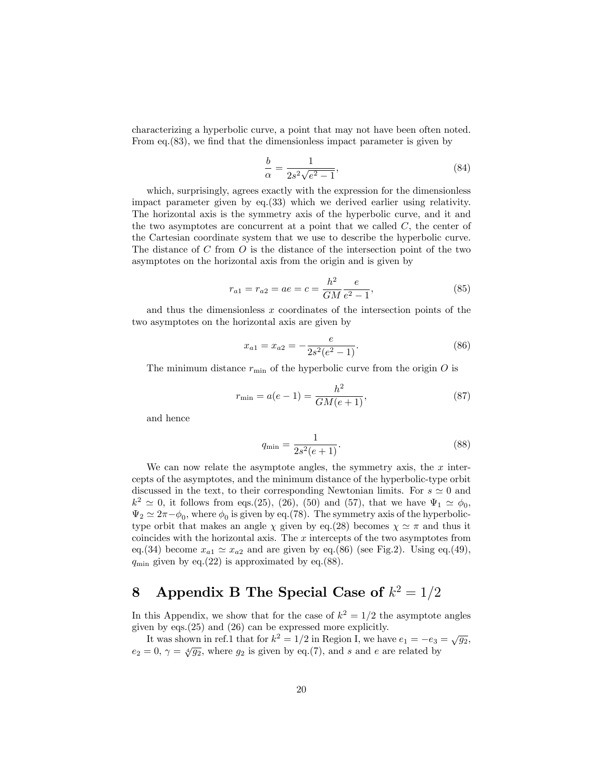characterizing a hyperbolic curve, a point that may not have been often noted. From eq. $(83)$ , we find that the dimensionless impact parameter is given by

$$
\frac{b}{\alpha} = \frac{1}{2s^2\sqrt{e^2 - 1}},\tag{84}
$$

which, surprisingly, agrees exactly with the expression for the dimensionless impact parameter given by eq.(33) which we derived earlier using relativity. The horizontal axis is the symmetry axis of the hyperbolic curve, and it and the two asymptotes are concurrent at a point that we called  $C$ , the center of the Cartesian coordinate system that we use to describe the hyperbolic curve. The distance of C from O is the distance of the intersection point of the two asymptotes on the horizontal axis from the origin and is given by

$$
r_{a1} = r_{a2} = ae = c = \frac{h^2}{GM} \frac{e}{e^2 - 1},
$$
\n(85)

and thus the dimensionless  $x$  coordinates of the intersection points of the two asymptotes on the horizontal axis are given by

$$
x_{a1} = x_{a2} = -\frac{e}{2s^2(e^2 - 1)}.\tag{86}
$$

The minimum distance  $r_{\min}$  of the hyperbolic curve from the origin O is

$$
r_{\min} = a(e - 1) = \frac{h^2}{GM(e + 1)},
$$
\n(87)

and hence

$$
q_{\min} = \frac{1}{2s^2(e+1)}.\tag{88}
$$

We can now relate the asymptote angles, the symmetry axis, the  $x$  intercepts of the asymptotes, and the minimum distance of the hyperbolic-type orbit discussed in the text, to their corresponding Newtonian limits. For  $s \simeq 0$  and  $k^2 \simeq 0$ , it follows from eqs.(25), (26), (50) and (57), that we have  $\Psi_1 \simeq \phi_0$ ,  $\Psi_2 \simeq 2\pi - \phi_0$ , where  $\phi_0$  is given by eq.(78). The symmetry axis of the hyperbolictype orbit that makes an angle  $\chi$  given by eq.(28) becomes  $\chi \simeq \pi$  and thus it coincides with the horizontal axis. The  $x$  intercepts of the two asymptotes from eq.(34) become  $x_{a1} \simeq x_{a2}$  and are given by eq.(86) (see Fig.2). Using eq.(49),  $q_{\min}$  given by eq.(22) is approximated by eq.(88).

## 8 Appendix B The Special Case of  $k^2 = 1/2$

In this Appendix, we show that for the case of  $k^2 = 1/2$  the asymptote angles given by eqs.(25) and (26) can be expressed more explicitly.

It was shown in ref.1 that for  $k^2 = 1/2$  in Region I, we have  $e_1 = -e_3 = \sqrt{g_2}$ ,  $e_2 = 0, \gamma = \sqrt[4]{g_2}$ , where  $g_2$  is given by eq.(7), and s and e are related by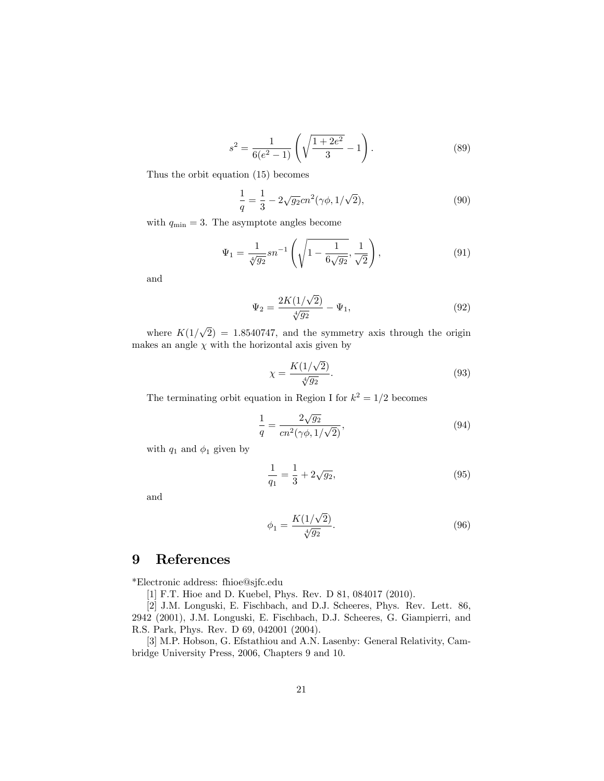$$
s^{2} = \frac{1}{6(e^{2} - 1)} \left( \sqrt{\frac{1 + 2e^{2}}{3}} - 1 \right).
$$
 (89)

Thus the orbit equation (15) becomes

$$
\frac{1}{q} = \frac{1}{3} - 2\sqrt{g_2}cn^2(\gamma\phi, 1/\sqrt{2}),\tag{90}
$$

with  $q_{\min} = 3$ . The asymptote angles become

$$
\Psi_1 = \frac{1}{\sqrt[4]{g_2}} sn^{-1} \left( \sqrt{1 - \frac{1}{6\sqrt{g_2}}}, \frac{1}{\sqrt{2}} \right), \tag{91}
$$

and

$$
\Psi_2 = \frac{2K(1/\sqrt{2})}{\sqrt[4]{g_2}} - \Psi_1,\tag{92}
$$

where  $K(1/\sqrt{2}) = 1.8540747$ , and the symmetry axis through the origin makes an angle  $\chi$  with the horizontal axis given by

$$
\chi = \frac{K(1/\sqrt{2})}{\sqrt[4]{g_2}}.\tag{93}
$$

The terminating orbit equation in Region I for  $k^2 = 1/2$  becomes

$$
\frac{1}{q} = \frac{2\sqrt{g_2}}{cn^2(\gamma\phi, 1/\sqrt{2})},\tag{94}
$$

with  $q_1$  and  $\phi_1$  given by

$$
\frac{1}{q_1} = \frac{1}{3} + 2\sqrt{g_2},\tag{95}
$$

and

$$
\phi_1 = \frac{K(1/\sqrt{2})}{\sqrt[4]{g_2}}.\tag{96}
$$

### 9 References

\*Electronic address: fhioe@sjfc.edu

[1] F.T. Hioe and D. Kuebel, Phys. Rev. D 81, 084017 (2010).

[2] J.M. Longuski, E. Fischbach, and D.J. Scheeres, Phys. Rev. Lett. 86, 2942 (2001), J.M. Longuski, E. Fischbach, D.J. Scheeres, G. Giampierri, and R.S. Park, Phys. Rev. D 69, 042001 (2004).

[3] M.P. Hobson, G. Efstathiou and A.N. Lasenby: General Relativity, Cambridge University Press, 2006, Chapters 9 and 10.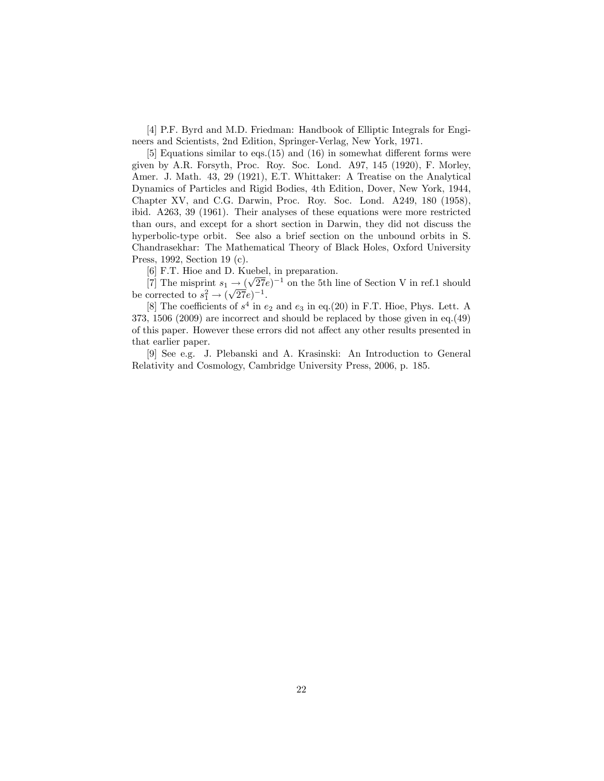[4] P.F. Byrd and M.D. Friedman: Handbook of Elliptic Integrals for Engineers and Scientists, 2nd Edition, Springer-Verlag, New York, 1971.

[5] Equations similar to eqs.  $(15)$  and  $(16)$  in somewhat different forms were given by A.R. Forsyth, Proc. Roy. Soc. Lond. A97, 145 (1920), F. Morley, Amer. J. Math. 43, 29 (1921), E.T. Whittaker: A Treatise on the Analytical Dynamics of Particles and Rigid Bodies, 4th Edition, Dover, New York, 1944, Chapter XV, and C.G. Darwin, Proc. Roy. Soc. Lond. A249, 180 (1958), ibid. A263, 39 (1961). Their analyses of these equations were more restricted than ours, and except for a short section in Darwin, they did not discuss the hyperbolic-type orbit. See also a brief section on the unbound orbits in S. Chandrasekhar: The Mathematical Theory of Black Holes, Oxford University Press, 1992, Section 19 (c).

[6] F.T. Hioe and D. Kuebel, in preparation.

[7] The misprint  $s_1 \rightarrow (\sqrt{27}e)^{-1}$  on the 5th line of Section V in ref.1 should be corrected to  $s_1^2 \rightarrow (\sqrt{27}e)^{-1}$ .

[8] The coefficients of  $s^4$  in  $e_2$  and  $e_3$  in eq.(20) in F.T. Hioe, Phys. Lett. A 373, 1506 (2009) are incorrect and should be replaced by those given in eq.(49) of this paper. However these errors did not affect any other results presented in that earlier paper.

[9] See e.g. J. Plebanski and A. Krasinski: An Introduction to General Relativity and Cosmology, Cambridge University Press, 2006, p. 185.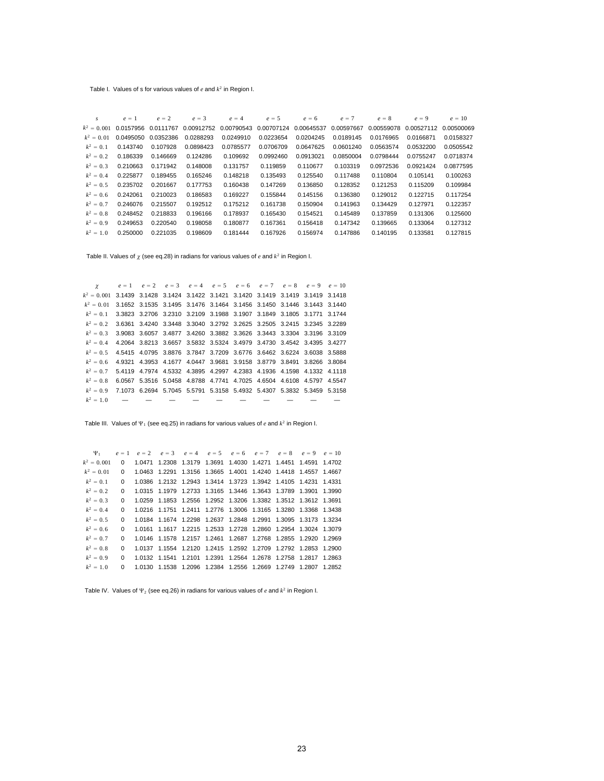Table I. Values of s for various values of *e* and *k*<sup>2</sup> in Region I.

| $\mathcal{S}$ | $e = 1$                 | $e = 2$   | $e = 3$    | $e = 4$    | $e = 5$    | $e = 6$    | $e = 7$    | $e = 8$    | $e = 9$    | $e = 10$   |
|---------------|-------------------------|-----------|------------|------------|------------|------------|------------|------------|------------|------------|
|               | $k^2 = 0.001$ 0.0157956 | 0.0111767 | 0.00912752 | 0.00790543 | 0.00707124 | 0.00645537 | 0.00597667 | 0.00559078 | 0.00527112 | 0.00500069 |
| $k^2 = 0.01$  | 0.0495050               | 0.0352386 | 0.0288293  | 0.0249910  | 0.0223654  | 0.0204245  | 0.0189145  | 0.0176965  | 0.0166871  | 0.0158327  |
| $k^2 = 0.1$   | 0.143740                | 0.107928  | 0.0898423  | 0.0785577  | 0.0706709  | 0.0647625  | 0.0601240  | 0.0563574  | 0.0532200  | 0.0505542  |
| $k^2 = 0.2$   | 0.186339                | 0.146669  | 0.124286   | 0.109692   | 0.0992460  | 0.0913021  | 0.0850004  | 0.0798444  | 0.0755247  | 0.0718374  |
| $k^2 = 0.3$   | 0.210663                | 0.171942  | 0.148008   | 0.131757   | 0.119859   | 0.110677   | 0.103319   | 0.0972536  | 0.0921424  | 0.0877595  |
| $k^2 = 0.4$   | 0.225877                | 0.189455  | 0.165246   | 0.148218   | 0.135493   | 0.125540   | 0.117488   | 0.110804   | 0.105141   | 0.100263   |
| $k^2 = 0.5$   | 0.235702                | 0.201667  | 0.177753   | 0.160438   | 0.147269   | 0.136850   | 0.128352   | 0.121253   | 0.115209   | 0.109984   |
| $k^2 = 0.6$   | 0.242061                | 0.210023  | 0.186583   | 0.169227   | 0.155844   | 0.145156   | 0.136380   | 0.129012   | 0.122715   | 0.117254   |
| $k^2 = 0.7$   | 0.246076                | 0.215507  | 0.192512   | 0.175212   | 0.161738   | 0.150904   | 0.141963   | 0.134429   | 0.127971   | 0.122357   |
| $k^2 = 0.8$   | 0.248452                | 0.218833  | 0.196166   | 0.178937   | 0.165430   | 0.154521   | 0.145489   | 0.137859   | 0.131306   | 0.125600   |
| $k^2 = 0.9$   | 0.249653                | 0.220540  | 0.198058   | 0.180877   | 0.167361   | 0.156418   | 0.147342   | 0.139665   | 0.133064   | 0.127312   |
| $k^2 = 1.0$   | 0.250000                | 0.221035  | 0.198609   | 0.181444   | 0.167926   | 0.156974   | 0.147886   | 0.140195   | 0.133581   | 0.127815   |
|               |                         |           |            |            |            |            |            |            |            |            |

Table II. Values of  $\gamma$  (see eq.28) in radians for various values of *e* and  $k^2$  in Region I.

*g*  $e = 1$   $e = 2$   $e = 3$   $e = 4$   $e = 5$   $e = 6$   $e = 7$   $e = 8$   $e = 9$   $e = 10$  $k^2 = 0.001$  3.1439 3.1428 3.1424 3.1422 3.1421 3.1420 3.1419 3.1419 3.1419 3.1418  $k^2 = 0.01$  3.1652 3.1535 3.1495 3.1476 3.1464 3.1456 3.1450 3.1446 3.1443 3.1440 *k*<sup>2</sup> 0. 1 3.3823 3.2706 3.2310 3.2109 3.1988 3.1907 3.1849 3.1805 3.1771 3.1744  $k^2 = 0.2$  3.6361 3.4240 3.3448 3.3040 3.2792 3.2625 3.2505 3.2415 3.2345 3.2289 *k*<sup>2</sup> 0. 3 3.9083 3.6057 3.4877 3.4260 3.3882 3.3626 3.3443 3.3304 3.3196 3.3109  $k^2 = 0.4$  4.2064 3.8213 3.6657 3.5832 3.5324 3.4979 3.4730 3.4542 3.4395 3.4277  $k^2 = 0.5$  4.5415 4.0795 3.8876 3.7847 3.7209 3.6776 3.6462 3.6224 3.6038 3.5888  $k^2 = 0.6$  4.9321 4.3953 4.1677 4.0447 3.9681 3.9158 3.8779 3.8491 3.8266 3.8084 *k*<sup>2</sup> 0. 7 5.4119 4.7974 4.5332 4.3895 4.2997 4.2383 4.1936 4.1598 4.1332 4.1118  $k^2 = 0.8$  6.0567 5.3516 5.0458 4.8788 4.7741 4.7025 4.6504 4.6108 4.5797 4.5547 *k*<sup>2</sup> 0. 9 7.1073 6.2694 5.7045 5.5791 5.3158 5.4932 5.4307 5.3832 5.3459 5.3158  $k^2 = 1.0$  — — — — — — — — —

Table III. Values of  $\Psi_1$  (see eq.25) in radians for various values of  $e$  and  $k^2$  in Region I.

 $\Psi_1$   $e = 1$   $e = 2$   $e = 3$   $e = 4$   $e = 5$   $e = 6$   $e = 7$   $e = 8$   $e = 9$   $e = 10$  $k^2 = 0.001$  0 1.0471 1.2308 1.3179 1.3691 1.4030 1.4271 1.4451 1.4591 1.4702  $k^2 = 0.01$  0 1.0463 1.2291 1.3156 1.3665 1.4001 1.4240 1.4418 1.4557 1.4667  $k^2 = 0.1$  0 1.0386 1.2132 1.2943 1.3414 1.3723 1.3942 1.4105 1.4231 1.4331 *k*<sup>2</sup> 0. 2 0 1.0315 1.1979 1.2733 1.3165 1.3446 1.3643 1.3789 1.3901 1.3990 *k*<sup>2</sup> 0. 3 0 1.0259 1.1853 1.2556 1.2952 1.3206 1.3382 1.3512 1.3612 1.3691 *k*<sup>2</sup> 0. 4 0 1.0216 1.1751 1.2411 1.2776 1.3006 1.3165 1.3280 1.3368 1.3438 *k*<sup>2</sup> 0. 5 0 1.0184 1.1674 1.2298 1.2637 1.2848 1.2991 1.3095 1.3173 1.3234  $k^2 = 0.6$  0 1.0161 1.1617 1.2215 1.2533 1.2728 1.2860 1.2954 1.3024 1.3079 *k*<sup>2</sup> 0. 7 0 1.0146 1.1578 1.2157 1.2461 1.2687 1.2768 1.2855 1.2920 1.2969 *k*<sup>2</sup> 0. 8 0 1.0137 1.1554 1.2120 1.2415 1.2592 1.2709 1.2792 1.2853 1.2900  $k^2 = 0.9$  0 1.0132 1.1541 1.2101 1.2391 1.2564 1.2678 1.2758 1.2817 1.2863 *k*<sup>2</sup> 1. 0 0 1.0130 1.1538 1.2096 1.2384 1.2556 1.2669 1.2749 1.2807 1.2852

Table IV. Values of  $\Psi_2$  (see eq.26) in radians for various values of  $e$  and  $k^2$  in Region I.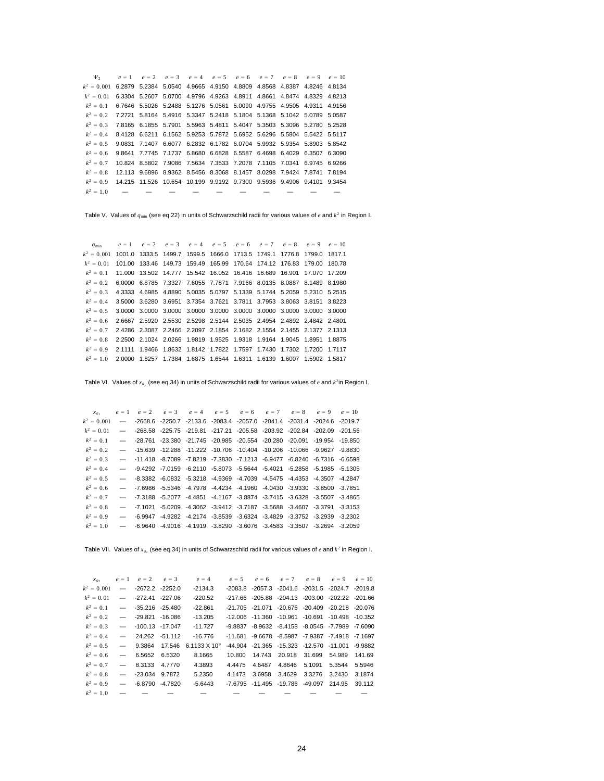$\Psi_2$   $e = 1$   $e = 2$   $e = 3$   $e = 4$   $e = 5$   $e = 6$   $e = 7$   $e = 8$   $e = 9$   $e = 10$  $k^2 = 0.001$  6.2879 5.2384 5.0540 4.9665 4.9150 4.8809 4.8568 4.8387 4.8246 4.8134  $k^2 = 0.01$  6.3304 5.2607 5.0700 4.9796 4.9263 4.8911 4.8661 4.8474 4.8329 4.8213  $k^2 = 0.1$  6.7646 5.5026 5.2488 5.1276 5.0561 5.0090 4.9755 4.9505 4.9311 4.9156  $k^2 = 0.2$  7.2721 5.8164 5.4916 5.3347 5.2418 5.1804 5.1368 5.1042 5.0789 5.0587  $k^2 = 0.3$  7.8165 6.1855 5.7901 5.5963 5.4811 5.4047 5.3503 5.3096 5.2780 5.2528 *k*<sup>2</sup> 0. 4 8.4128 6.6211 6.1562 5.9253 5.7872 5.6952 5.6296 5.5804 5.5422 5.5117  $k^2 = 0.5$  9.0831 7.1407 6.6077 6.2832 6.1782 6.0704 5.9932 5.9354 5.8903 5.8542  $k^2 = 0.6$  9.8641 7.7745 7.1737 6.8680 6.6828 6.5587 6.4698 6.4029 6.3507 6.3090 *k*<sup>2</sup> 0. 7 10.824 8.5802 7.9086 7.5634 7.3533 7.2078 7.1105 7.0341 6.9745 6.9266  $k^2 = 0.8$  12.113 9.6896 8.9362 8.5456 8.3068 8.1457 8.0298 7.9424 7.8741 7.8194 *k*<sup>2</sup> 0. 9 14.215 11.526 10.654 10.199 9.9192 9.7300 9.5936 9.4906 9.4101 9.3454  $k^2 = 1.0$  — — — — — — — — —

Table V. Values of *q*min (see eq.22) in units of Schwarzschild radii for various values of *e* and *k*<sup>2</sup> in Region I.

*q*min  $e = 1$   $e = 2$   $e = 3$   $e = 4$   $e = 5$   $e = 6$   $e = 7$   $e = 8$   $e = 9$   $e = 10$ *k*<sup>2</sup> = 0.001 1001.0 1333.5 1499.7 1599.5 1666.0 1713.5 1749.1 1776.8 1799.0 1817.1 *k*<sup>2</sup> 0. 01 101.00 133.46 149.73 159.49 165.99 170.64 174.12 176.83 179.00 180.78 *k*<sup>2</sup> 0. 1 11.000 13.502 14.777 15.542 16.052 16.416 16.689 16.901 17.070 17.209 *k*<sup>2</sup> 0. 2 6.0000 6.8785 7.3327 7.6055 7.7871 7.9166 8.0135 8.0887 8.1489 8.1980  $k^2 = 0.3$  4.3333 4.6985 4.8890 5.0035 5.0797 5.1339 5.1744 5.2059 5.2310 5.2515  $k^2 = 0.4$  3.5000 3.6280 3.6951 3.7354 3.7621 3.7811 3.7953 3.8063 3.8151 3.8223  $k^2 = 0.5$  3.0000 3.0000 3.0000 3.0000 3.0000 3.0000 3.0000 3.0000 3.0000 3.0000 *k*<sup>2</sup> 0. 6 2.6667 2.5920 2.5530 2.5298 2.5144 2.5035 2.4954 2.4892 2.4842 2.4801 *k*<sup>2</sup> 0. 7 2.4286 2.3087 2.2466 2.2097 2.1854 2.1682 2.1554 2.1455 2.1377 2.1313 *k*<sup>2</sup> 0. 8 2.2500 2.1024 2.0266 1.9819 1.9525 1.9318 1.9164 1.9045 1.8951 1.8875 *k*<sup>2</sup> 0. 9 2.1111 1.9466 1.8632 1.8142 1.7822 1.7597 1.7430 1.7302 1.7200 1.7117 *k*<sup>2</sup> 1. 0 2.0000 1.8257 1.7384 1.6875 1.6544 1.6311 1.6139 1.6007 1.5902 1.5817

Table VI. Values of  $x_{a_1}$  (see eq.34) in units of Schwarzschild radii for various values of *e* and  $k^2$ in Region I.

*xa*<sub>1</sub>  $e = 1$   $e = 2$   $e = 3$   $e = 4$   $e = 5$   $e = 6$   $e = 7$   $e = 8$   $e = 9$   $e = 10$ *k*<sup>2</sup> 0. 001 — -2668.6 -2250.7 -2133.6 -2083.4 -2057.0 -2041.4 -2031.4 -2024.6 -2019.7 *k*<sup>2</sup> 0. 01 — -268.58 -225.75 -219.81 -217.21 -205.58 -203.92 -202.84 -202.09 -201.56 *k*<sup>2</sup> 0. 1 — -28.761 -23.380 -21.745 -20.985 -20.554 -20.280 -20.091 -19.954 -19.850  $k^2 = 0.2$  -15.639 -12.288 -11.222 -10.706 -10.404 -10.206 -10.066 -9.9627 -9.8830 *k*<sup>2</sup> 0. 3 — -11.418 -8.7089 -7.8219 -7.3830 -7.1213 -6.9477 -6.8240 -6.7316 -6.6598 *k*<sup>2</sup> 0. 4 — -9.4292 -7.0159 -6.2110 -5.8073 -5.5644 -5.4021 -5.2858 -5.1985 -5.1305  $k^2 = 0.5$  —  $-$ -8.3382 -6.0832 -5.3218 -4.9369 -4.7039 -4.5475 -4.4353 -4.3507 -4.2847  $k^2 = 0.6$  — -7.6986 -5.5346 -4.7978 -4.4234 -4.1960 -4.0430 -3.9330 -3.8500 -3.7851  $k^2 = 0.7$  -7.3188 -5.2077 -4.4851 -4.1167 -3.8874 -3.7415 -3.6328 -3.5507 -3.4865 *k*<sup>2</sup> 0. 8 — -7.1021 -5.0209 -4.3062 -3.9412 -3.7187 -3.5688 -3.4607 -3.3791 -3.3153 *k*<sup>2</sup> 0. 9 — -6.9947 -4.9282 -4.2174 -3.8539 -3.6324 -3.4829 -3.3752 -3.2939 -3.2302  $k^2 = 1.0$  —  $-6.9640$   $-4.9016$   $-4.1919$   $-3.8290$   $-3.6076$   $-3.4583$   $-3.3507$   $-3.2694$   $-3.2059$ 

Table VII. Values of  $x_{a_2}$  (see eq.34) in units of Schwarzschild radii for various values of *e* and  $k^2$  in Region I.

| $x_{a}$                      |               |                        | $e = 1$ $e = 2$ $e = 3$ | $e = 4$                                              |        | $e = 5$ $e = 6$ $e = 7$ $e = 8$ $e = 9$         |                      | $e = 10$ |
|------------------------------|---------------|------------------------|-------------------------|------------------------------------------------------|--------|-------------------------------------------------|----------------------|----------|
| $k^2 = 0.001$                |               | $-$ -2672.2 -2252.0    |                         | $-2134.3$                                            |        | -2083.8 -2057.3 -2041.6 -2031.5 -2024.7 -2019.8 |                      |          |
| $k^2 = 0.01$                 |               | $-272.41 - 227.06$     |                         | $-220.52$                                            |        | -217.66 -205.88 -204.13 -203.00 -202.22 -201.66 |                      |          |
| $k^2 = 0.1$                  |               | $-$ -35.216 -25.480    |                         | $-22.861$                                            |        | -21.705 -21.071 -20.676 -20.409 -20.218 -20.076 |                      |          |
| $k^2 = 0.2$                  |               | $    29.821$ $ 16.086$ |                         | $-13.205$                                            |        | -12.006 -11.360 -10.961 -10.691 -10.498 -10.352 |                      |          |
| $k^2 = 0.3$ - 100.13 -17.047 |               |                        |                         | $-11.727$                                            |        | -9.8837 -8.9632 -8.4158 -8.0545 -7.7989 -7.6090 |                      |          |
| $k^2 = 0.4$                  |               | $-24.262$ -51.112      |                         | $-16.776$                                            |        | -11.681 -9.6678 -8.5987 -7.9387 -7.4918 -7.1697 |                      |          |
|                              |               |                        |                         | $k^2 = 0.5$ - 9.3864 17.546 6.1133 X 10 <sup>9</sup> |        | -44.904 -21.365 -15.323 -12.570 -11.001 -9.9882 |                      |          |
| $k^2 = 0.6$                  |               | $-6.5652$ 6.5320       |                         | 8.1665                                               |        | 10.800  14.743  20.918  31.699  54.989          |                      | 141.69   |
| $k^2 = 0.7$                  | $\sim$ $\sim$ | 8.3133 4.7770          |                         | 4.3893                                               | 4.4475 | 4.6487                                          | 4.8646 5.1091 5.3544 | 5.5946   |
| $k^2 = 0.8$                  |               | $-$ -23.034 9.7872     |                         | 5.2350                                               | 4.1473 | 3.6958                                          | 3.4629 3.3276 3.2430 | 3.1874   |
| $k^2 = 0.9$ —                |               | $-6.8790 - 4.7820$     |                         | $-5.6443$                                            |        | -7.6795 -11.495 -19.786 -49.097 214.95          |                      | 39.112   |
| $k^2 = 1.0$                  |               |                        |                         |                                                      |        |                                                 |                      |          |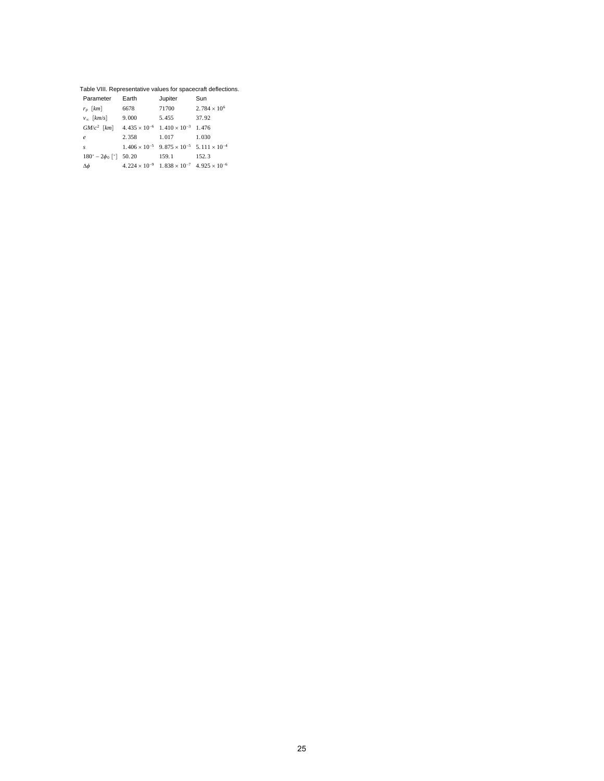#### Table VIII. Representative values for spacecraft deflections.

| Parameter                                                         | Earth | Jupiter                                                              | Sun                   |  |
|-------------------------------------------------------------------|-------|----------------------------------------------------------------------|-----------------------|--|
| $r_p$ [km]                                                        | 6678  | 71700                                                                | $2.784 \times 10^{6}$ |  |
| $v_{\infty}$ [km/s]                                               | 9.000 | 5.455                                                                | 37.92                 |  |
| $GM/c^2$ [km] $4.435 \times 10^{-6}$ $1.410 \times 10^{-3}$ 1.476 |       |                                                                      |                       |  |
| $\epsilon$                                                        | 2.358 | 1.017                                                                | 1.030                 |  |
| $\mathcal{S}$                                                     |       | $1.406 \times 10^{-5}$ $9.875 \times 10^{-5}$ $5.111 \times 10^{-4}$ |                       |  |
| $180^\circ - 2\phi_0$ [°] 50.20                                   |       | 159.1                                                                | 152.3                 |  |
| Δφ                                                                |       | $4.224 \times 10^{-9}$ $1.838 \times 10^{-7}$ $4.925 \times 10^{-6}$ |                       |  |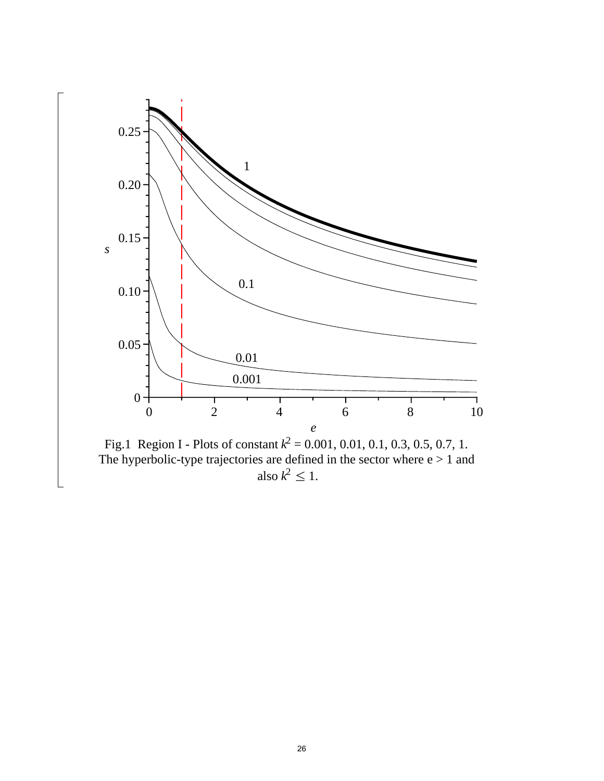

The hyperbolic-type trajectories are defined in the sector where  $e > 1$  and also  $k^2 \leq 1$ .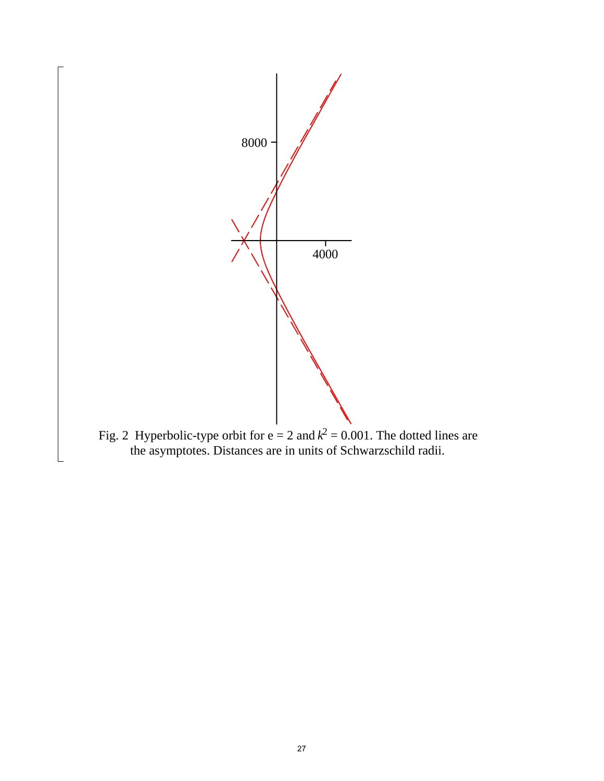

the asymptotes. Distances are in units of Schwarzschild radii.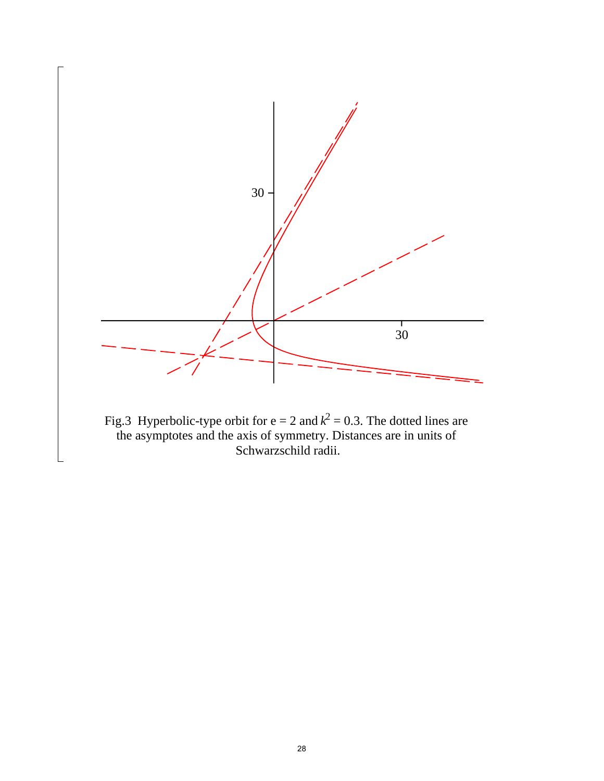

Fig.3 Hyperbolic-type orbit for  $e = 2$  and  $k^2 = 0.3$ . The dotted lines are the asymptotes and the axis of symmetry. Distances are in units of Schwarzschild radii.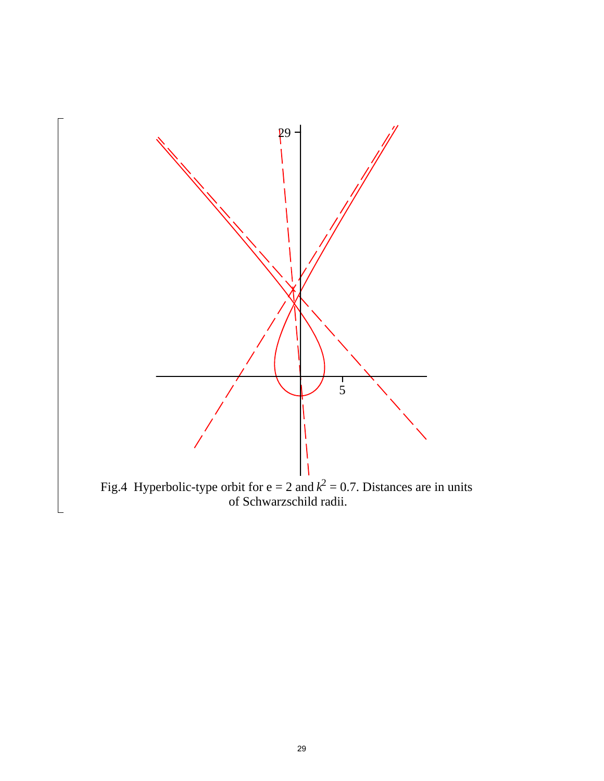

Fig.4 Hyperbolic-type orbit for  $e = 2$  and  $k^2 = 0.7$ . Distances are in units of Schwarzschild radii.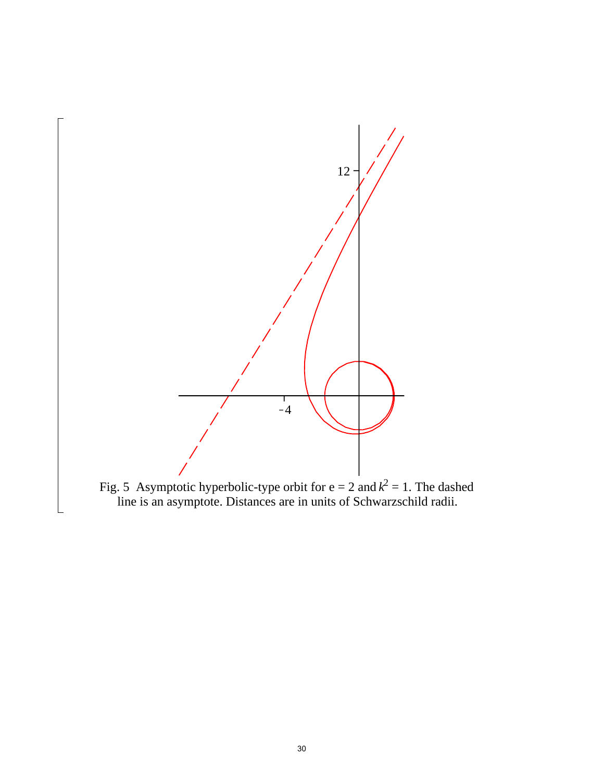

Fig. 5 Asymptotic hyperbolic-type orbit for  $e = 2$  and  $k^2 = 1$ . The dashed line is an asymptote. Distances are in units of Schwarzschild radii.